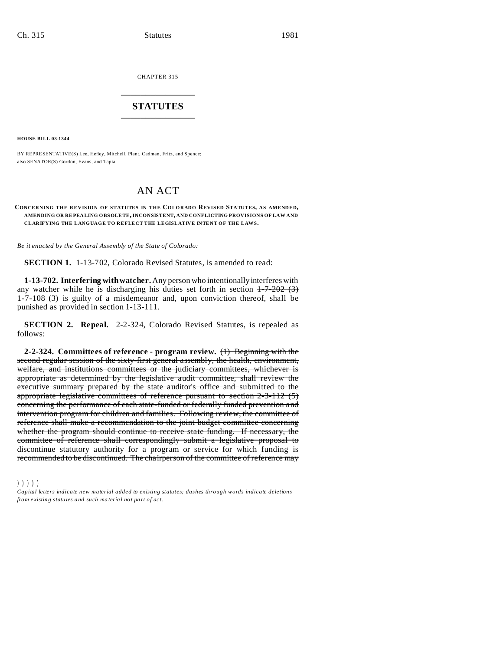CHAPTER 315 \_\_\_\_\_\_\_\_\_\_\_\_\_\_\_

### **STATUTES**  $\frac{1}{2}$  , where  $\frac{1}{2}$  , where  $\frac{1}{2}$

**HOUSE BILL 03-1344**

BY REPRESENTATIVE(S) Lee, Hefley, Mitchell, Plant, Cadman, Fritz, and Spence; also SENATOR(S) Gordon, Evans, and Tapia.

## AN ACT

#### **CONCERNING THE REVIS ION OF STATUTES IN THE COLORADO REVISED STATUTES, AS AMENDED, AMENDING OR RE PEA LING OBS OLE TE, INCONSISTENT, AND CONFLICTING PROVISIONS OF LAW AND CLARIFYING THE LANGUAGE TO REFLECT THE LEGISLATIVE INTENT OF THE LAWS.**

*Be it enacted by the General Assembly of the State of Colorado:*

**SECTION 1.** 1-13-702, Colorado Revised Statutes, is amended to read:

**1-13-702. Interfering with watcher.** Any person who intentionally interferes with any watcher while he is discharging his duties set forth in section  $1-7-202$  (3) 1-7-108 (3) is guilty of a misdemeanor and, upon conviction thereof, shall be punished as provided in section 1-13-111.

**SECTION 2. Repeal.** 2-2-324, Colorado Revised Statutes, is repealed as follows:

**2-2-324. Committees of reference - program review.** (1) Beginning with the second regular session of the sixty-first general assembly, the health, environment, welfare, and institutions committees or the judiciary committees, whichever is appropriate as determined by the legislative audit committee, shall review the executive summary prepared by the state auditor's office and submitted to the appropriate legislative committees of reference pursuant to section 2-3-112 (5) concerning the performance of each state-funded or federally funded prevention and intervention program for children and families. Following review, the committee of reference shall make a recommendation to the joint budget committee concerning whether the program should continue to receive state funding. If necessary, the committee of reference shall correspondingly submit a legislative proposal to discontinue statutory authority for a program or service for which funding is recommended to be discontinued. The chairperson of the committee of reference may

#### )))))

*Capital letters indicate new material added to existing statutes; dashes through words indicate deletions from e xistin g statu tes a nd such ma teria l no t pa rt of ac t.*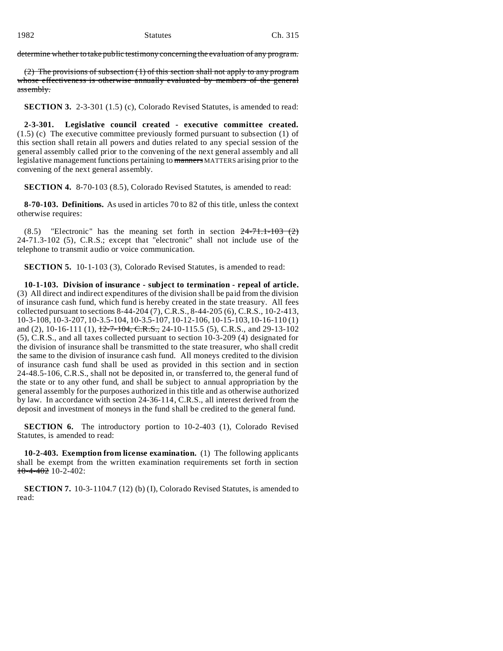determine whether to take public testimony concerning the evaluation of any program.

(2) The provisions of subsection (1) of this section shall not apply to any program whose effectiveness is otherwise annually evaluated by members of the general assembly.

**SECTION 3.** 2-3-301 (1.5) (c), Colorado Revised Statutes, is amended to read:

**2-3-301. Legislative council created - executive committee created.** (1.5) (c) The executive committee previously formed pursuant to subsection (1) of this section shall retain all powers and duties related to any special session of the general assembly called prior to the convening of the next general assembly and all legislative management functions pertaining to manners MATTERS arising prior to the convening of the next general assembly.

**SECTION 4.** 8-70-103 (8.5), Colorado Revised Statutes, is amended to read:

**8-70-103. Definitions.** As used in articles 70 to 82 of this title, unless the context otherwise requires:

 $(8.5)$  "Electronic" has the meaning set forth in section  $24-71.1-103$   $(2)$ 24-71.3-102 (5), C.R.S.; except that "electronic" shall not include use of the telephone to transmit audio or voice communication.

**SECTION 5.** 10-1-103 (3), Colorado Revised Statutes, is amended to read:

**10-1-103. Division of insurance - subject to termination - repeal of article.** (3) All direct and indirect expenditures of the division shall be paid from the division of insurance cash fund, which fund is hereby created in the state treasury. All fees collected pursuant to sections 8-44-204 (7), C.R.S., 8-44-205 (6), C.R.S., 10-2-413, 10-3-108, 10-3-207, 10-3.5-104, 10-3.5-107, 10-12-106, 10-15-103, 10-16-110 (1) and (2), 10-16-111 (1),  $\frac{12-7-104}{6}$ , C.R.S., 24-10-115.5 (5), C.R.S., and 29-13-102 (5), C.R.S., and all taxes collected pursuant to section 10-3-209 (4) designated for the division of insurance shall be transmitted to the state treasurer, who shall credit the same to the division of insurance cash fund. All moneys credited to the division of insurance cash fund shall be used as provided in this section and in section 24-48.5-106, C.R.S., shall not be deposited in, or transferred to, the general fund of the state or to any other fund, and shall be subject to annual appropriation by the general assembly for the purposes authorized in this title and as otherwise authorized by law. In accordance with section 24-36-114, C.R.S., all interest derived from the deposit and investment of moneys in the fund shall be credited to the general fund.

**SECTION 6.** The introductory portion to 10-2-403 (1), Colorado Revised Statutes, is amended to read:

**10-2-403. Exemption from license examination.** (1) The following applicants shall be exempt from the written examination requirements set forth in section 10-4-402 10-2-402:

**SECTION 7.** 10-3-1104.7 (12) (b) (I), Colorado Revised Statutes, is amended to read: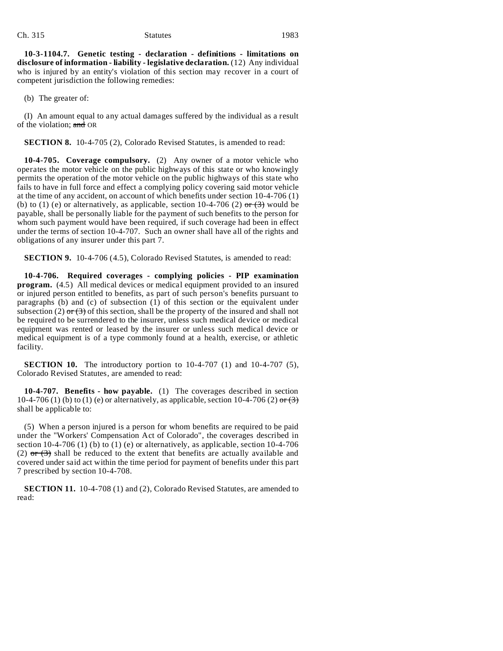#### Ch. 315 Statutes 1983

**10-3-1104.7. Genetic testing - declaration - definitions - limitations on disclosure of information - liability - legislative declaration.** (12) Any individual who is injured by an entity's violation of this section may recover in a court of competent jurisdiction the following remedies:

(b) The greater of:

(I) An amount equal to any actual damages suffered by the individual as a result of the violation; and OR

**SECTION 8.** 10-4-705 (2), Colorado Revised Statutes, is amended to read:

**10-4-705. Coverage compulsory.** (2) Any owner of a motor vehicle who operates the motor vehicle on the public highways of this state or who knowingly permits the operation of the motor vehicle on the public highways of this state who fails to have in full force and effect a complying policy covering said motor vehicle at the time of any accident, on account of which benefits under section 10-4-706 (1) (b) to (1) (e) or alternatively, as applicable, section 10-4-706 (2)  $\sigma r$  (3) would be payable, shall be personally liable for the payment of such benefits to the person for whom such payment would have been required, if such coverage had been in effect under the terms of section 10-4-707. Such an owner shall have all of the rights and obligations of any insurer under this part 7.

**SECTION 9.** 10-4-706 (4.5), Colorado Revised Statutes, is amended to read:

**10-4-706. Required coverages - complying policies - PIP examination program.** (4.5) All medical devices or medical equipment provided to an insured or injured person entitled to benefits, as part of such person's benefits pursuant to paragraphs (b) and (c) of subsection (1) of this section or the equivalent under subsection (2)  $\sigma$  (3) of this section, shall be the property of the insured and shall not be required to be surrendered to the insurer, unless such medical device or medical equipment was rented or leased by the insurer or unless such medical device or medical equipment is of a type commonly found at a health, exercise, or athletic facility.

**SECTION 10.** The introductory portion to 10-4-707 (1) and 10-4-707 (5), Colorado Revised Statutes, are amended to read:

**10-4-707. Benefits - how payable.** (1) The coverages described in section 10-4-706 (1) (b) to (1) (e) or alternatively, as applicable, section 10-4-706 (2)  $\sigma$  (3) shall be applicable to:

(5) When a person injured is a person for whom benefits are required to be paid under the "Workers' Compensation Act of Colorado", the coverages described in section 10-4-706 (1) (b) to (1) (e) or alternatively, as applicable, section  $10$ -4-706 (2)  $\sigma$  (3) shall be reduced to the extent that benefits are actually available and covered under said act within the time period for payment of benefits under this part 7 prescribed by section 10-4-708.

**SECTION 11.** 10-4-708 (1) and (2), Colorado Revised Statutes, are amended to read: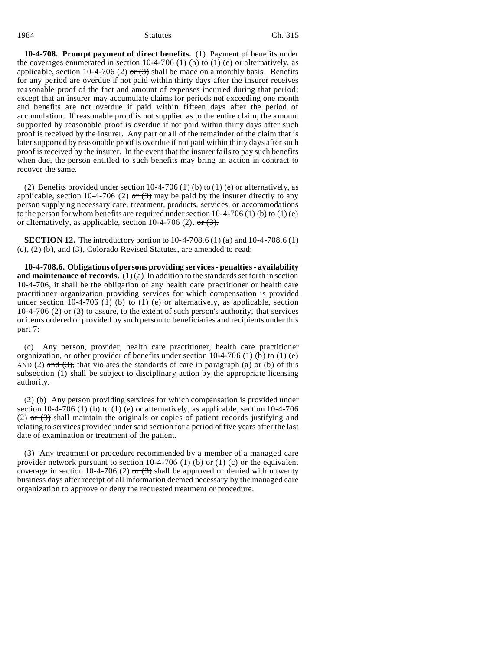#### 1984 Ch. 315

**10-4-708. Prompt payment of direct benefits.** (1) Payment of benefits under the coverages enumerated in section 10-4-706 (1) (b) to (1) (e) or alternatively, as applicable, section 10-4-706 (2)  $\sigma$  (3) shall be made on a monthly basis. Benefits for any period are overdue if not paid within thirty days after the insurer receives reasonable proof of the fact and amount of expenses incurred during that period; except that an insurer may accumulate claims for periods not exceeding one month and benefits are not overdue if paid within fifteen days after the period of accumulation. If reasonable proof is not supplied as to the entire claim, the amount supported by reasonable proof is overdue if not paid within thirty days after such proof is received by the insurer. Any part or all of the remainder of the claim that is later supported by reasonable proof is overdue if not paid within thirty days after such proof is received by the insurer. In the event that the insurer fails to pay such benefits when due, the person entitled to such benefits may bring an action in contract to recover the same.

(2) Benefits provided under section  $10-4-706$  (1) (b) to (1) (e) or alternatively, as applicable, section 10-4-706 (2) or  $(3)$  may be paid by the insurer directly to any person supplying necessary care, treatment, products, services, or accommodations to the person for whom benefits are required under section  $10-4-706(1)$  (b) to  $(1)$  (e) or alternatively, as applicable, section 10-4-706 (2).  $\sigma$  (3).

**SECTION 12.** The introductory portion to 10-4-708.6 (1) (a) and 10-4-708.6 (1) (c), (2) (b), and (3), Colorado Revised Statutes, are amended to read:

**10-4-708.6. Obligations of persons providing services - penalties - availability and maintenance of records.** (1) (a) In addition to the standards set forth in section 10-4-706, it shall be the obligation of any health care practitioner or health care practitioner organization providing services for which compensation is provided under section  $10-4-706$  (1) (b) to (1) (e) or alternatively, as applicable, section 10-4-706 (2)  $\sigma$  (3) to assure, to the extent of such person's authority, that services or items ordered or provided by such person to beneficiaries and recipients under this part 7:

(c) Any person, provider, health care practitioner, health care practitioner organization, or other provider of benefits under section  $10-4-706$  (1) (b) to (1) (e) AND (2) and  $(3)$ , that violates the standards of care in paragraph (a) or (b) of this subsection (1) shall be subject to disciplinary action by the appropriate licensing authority.

(2) (b) Any person providing services for which compensation is provided under section 10-4-706 (1) (b) to (1) (e) or alternatively, as applicable, section 10-4-706 (2) or  $(3)$  shall maintain the originals or copies of patient records justifying and relating to services provided under said section for a period of five years after the last date of examination or treatment of the patient.

(3) Any treatment or procedure recommended by a member of a managed care provider network pursuant to section  $10-4-706$  (1) (b) or (1) (c) or the equivalent coverage in section 10-4-706 (2) or  $(3)$  shall be approved or denied within twenty business days after receipt of all information deemed necessary by the managed care organization to approve or deny the requested treatment or procedure.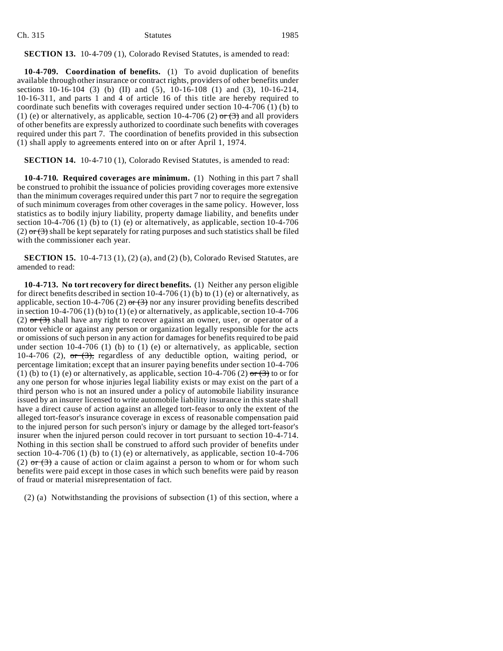#### Ch. 315 Statutes 1985

**SECTION 13.** 10-4-709 (1), Colorado Revised Statutes, is amended to read:

**10-4-709. Coordination of benefits.** (1) To avoid duplication of benefits available through other insurance or contract rights, providers of other benefits under sections 10-16-104 (3) (b) (II) and (5), 10-16-108 (1) and (3), 10-16-214, 10-16-311, and parts 1 and 4 of article 16 of this title are hereby required to coordinate such benefits with coverages required under section 10-4-706 (1) (b) to (1) (e) or alternatively, as applicable, section 10-4-706 (2)  $\sigma$  (3) and all providers of other benefits are expressly authorized to coordinate such benefits with coverages required under this part 7. The coordination of benefits provided in this subsection (1) shall apply to agreements entered into on or after April 1, 1974.

**SECTION 14.** 10-4-710 (1), Colorado Revised Statutes, is amended to read:

**10-4-710. Required coverages are minimum.** (1) Nothing in this part 7 shall be construed to prohibit the issuance of policies providing coverages more extensive than the minimum coverages required under this part 7 nor to require the segregation of such minimum coverages from other coverages in the same policy. However, loss statistics as to bodily injury liability, property damage liability, and benefits under section 10-4-706 (1) (b) to (1) (e) or alternatively, as applicable, section 10-4-706  $(2)$  or  $(3)$  shall be kept separately for rating purposes and such statistics shall be filed with the commissioner each year.

**SECTION 15.** 10-4-713 (1), (2) (a), and (2) (b), Colorado Revised Statutes, are amended to read:

**10-4-713. No tort recovery for direct benefits.** (1) Neither any person eligible for direct benefits described in section  $10-4-706$  (1) (b) to (1) (e) or alternatively, as applicable, section 10-4-706 (2) or  $(3)$  nor any insurer providing benefits described in section 10-4-706 (1) (b) to (1) (e) or alternatively, as applicable, section 10-4-706 (2)  $\sigma$  (3) shall have any right to recover against an owner, user, or operator of a motor vehicle or against any person or organization legally responsible for the acts or omissions of such person in any action for damages for benefits required to be paid under section  $10-4-706$  (1) (b) to (1) (e) or alternatively, as applicable, section 10-4-706 (2),  $\sigma$   $\rightarrow$   $(3)$ , regardless of any deductible option, waiting period, or percentage limitation; except that an insurer paying benefits under section 10-4-706 (1) (b) to (1) (e) or alternatively, as applicable, section 10-4-706 (2)  $\sigma$ r (3) to or for any one person for whose injuries legal liability exists or may exist on the part of a third person who is not an insured under a policy of automobile liability insurance issued by an insurer licensed to write automobile liability insurance in this state shall have a direct cause of action against an alleged tort-feasor to only the extent of the alleged tort-feasor's insurance coverage in excess of reasonable compensation paid to the injured person for such person's injury or damage by the alleged tort-feasor's insurer when the injured person could recover in tort pursuant to section 10-4-714. Nothing in this section shall be construed to afford such provider of benefits under section 10-4-706 (1) (b) to (1) (e) or alternatively, as applicable, section 10-4-706 (2)  $\sigma$  (3) a cause of action or claim against a person to whom or for whom such benefits were paid except in those cases in which such benefits were paid by reason of fraud or material misrepresentation of fact.

(2) (a) Notwithstanding the provisions of subsection (1) of this section, where a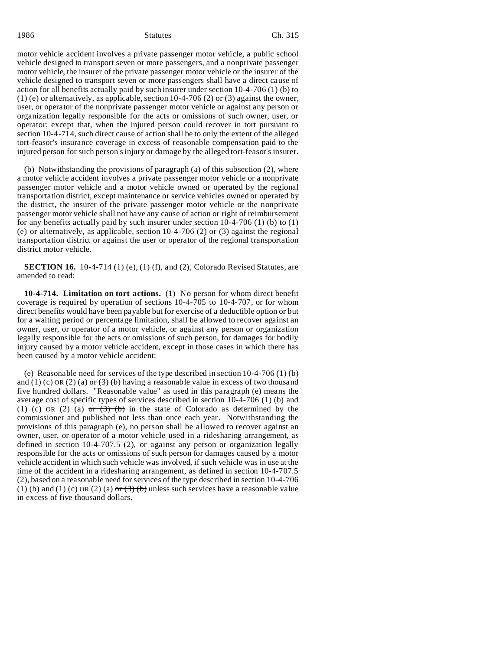motor vehicle accident involves a private passenger motor vehicle, a public school vehicle designed to transport seven or more passengers, and a nonprivate passenger motor vehicle, the insurer of the private passenger motor vehicle or the insurer of the vehicle designed to transport seven or more passengers shall have a direct cause of action for all benefits actually paid by such insurer under section 10-4-706 (1) (b) to (1) (e) or alternatively, as applicable, section 10-4-706 (2)  $\sigma$  (3) against the owner, user, or operator of the nonprivate passenger motor vehicle or against any person or organization legally responsible for the acts or omissions of such owner, user, or operator; except that, when the injured person could recover in tort pursuant to section 10-4-714, such direct cause of action shall be to only the extent of the alleged tort-feasor's insurance coverage in excess of reasonable compensation paid to the injured person for such person's injury or damage by the alleged tort-feasor's insurer.

(b) Notwithstanding the provisions of paragraph (a) of this subsection (2), where a motor vehicle accident involves a private passenger motor vehicle or a nonprivate passenger motor vehicle and a motor vehicle owned or operated by the regional transportation district, except maintenance or service vehicles owned or operated by the district, the insurer of the private passenger motor vehicle or the nonprivate passenger motor vehicle shall not have any cause of action or right of reimbursement for any benefits actually paid by such insurer under section 10-4-706 (1) (b) to (1) (e) or alternatively, as applicable, section 10-4-706 (2) or  $(3)$  against the regional transportation district or against the user or operator of the regional transportation district motor vehicle.

**SECTION 16.** 10-4-714 (1) (e), (1) (f), and (2), Colorado Revised Statutes, are amended to read:

**10-4-714. Limitation on tort actions.** (1) No person for whom direct benefit coverage is required by operation of sections 10-4-705 to 10-4-707, or for whom direct benefits would have been payable but for exercise of a deductible option or but for a waiting period or percentage limitation, shall be allowed to recover against an owner, user, or operator of a motor vehicle, or against any person or organization legally responsible for the acts or omissions of such person, for damages for bodily injury caused by a motor vehicle accident, except in those cases in which there has been caused by a motor vehicle accident:

(e) Reasonable need for services of the type described in section 10-4-706 (1) (b) and (1) (c) OR (2) (a)  $\sigma r$  (3) (b) having a reasonable value in excess of two thousand five hundred dollars. "Reasonable value" as used in this paragraph (e) means the average cost of specific types of services described in section 10-4-706 (1) (b) and (1) (c) OR (2) (a)  $\sigma r$  (3) (b) in the state of Colorado as determined by the commissioner and published not less than once each year. Notwithstanding the provisions of this paragraph (e), no person shall be allowed to recover against an owner, user, or operator of a motor vehicle used in a ridesharing arrangement, as defined in section 10-4-707.5 (2), or against any person or organization legally responsible for the acts or omissions of such person for damages caused by a motor vehicle accident in which such vehicle was involved, if such vehicle was in use at the time of the accident in a ridesharing arrangement, as defined in section 10-4-707.5 (2), based on a reasonable need for services of the type described in section 10-4-706 (1) (b) and (1) (c) OR (2) (a)  $\sigma r$  (3) (b) unless such services have a reasonable value in excess of five thousand dollars.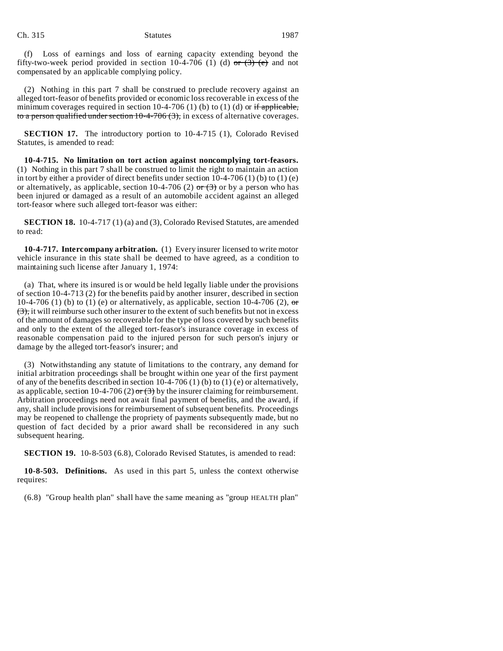(f) Loss of earnings and loss of earning capacity extending beyond the fifty-two-week period provided in section 10-4-706 (1) (d)  $\sigma$  (3) (e) and not compensated by an applicable complying policy.

(2) Nothing in this part 7 shall be construed to preclude recovery against an alleged tort-feasor of benefits provided or economic loss recoverable in excess of the minimum coverages required in section 10-4-706 (1) (b) to (1) (d) or if applicable, to a person qualified under section  $10-4-706(3)$ , in excess of alternative coverages.

**SECTION 17.** The introductory portion to 10-4-715 (1), Colorado Revised Statutes, is amended to read:

**10-4-715. No limitation on tort action against noncomplying tort-feasors.** (1) Nothing in this part 7 shall be construed to limit the right to maintain an action in tort by either a provider of direct benefits under section  $10-4-706(1)$  (b) to  $(1)$  (e) or alternatively, as applicable, section 10-4-706 (2) or  $\left(\frac{3}{2}\right)$  or by a person who has been injured or damaged as a result of an automobile accident against an alleged tort-feasor where such alleged tort-feasor was either:

**SECTION 18.** 10-4-717 (1) (a) and (3), Colorado Revised Statutes, are amended to read:

**10-4-717. Intercompany arbitration.** (1) Every insurer licensed to write motor vehicle insurance in this state shall be deemed to have agreed, as a condition to maintaining such license after January 1, 1974:

(a) That, where its insured is or would be held legally liable under the provisions of section 10-4-713 (2) for the benefits paid by another insurer, described in section 10-4-706 (1) (b) to (1) (e) or alternatively, as applicable, section 10-4-706 (2),  $\sigma$  $(3)$ , it will reimburse such other insurer to the extent of such benefits but not in excess of the amount of damages so recoverable for the type of loss covered by such benefits and only to the extent of the alleged tort-feasor's insurance coverage in excess of reasonable compensation paid to the injured person for such person's injury or damage by the alleged tort-feasor's insurer; and

(3) Notwithstanding any statute of limitations to the contrary, any demand for initial arbitration proceedings shall be brought within one year of the first payment of any of the benefits described in section 10-4-706 (1) (b) to (1) (e) or alternatively, as applicable, section 10-4-706 (2) or  $(3)$  by the insurer claiming for reimbursement. Arbitration proceedings need not await final payment of benefits, and the award, if any, shall include provisions for reimbursement of subsequent benefits. Proceedings may be reopened to challenge the propriety of payments subsequently made, but no question of fact decided by a prior award shall be reconsidered in any such subsequent hearing.

**SECTION 19.** 10-8-503 (6.8), Colorado Revised Statutes, is amended to read:

**10-8-503. Definitions.** As used in this part 5, unless the context otherwise requires:

(6.8) "Group health plan" shall have the same meaning as "group HEALTH plan"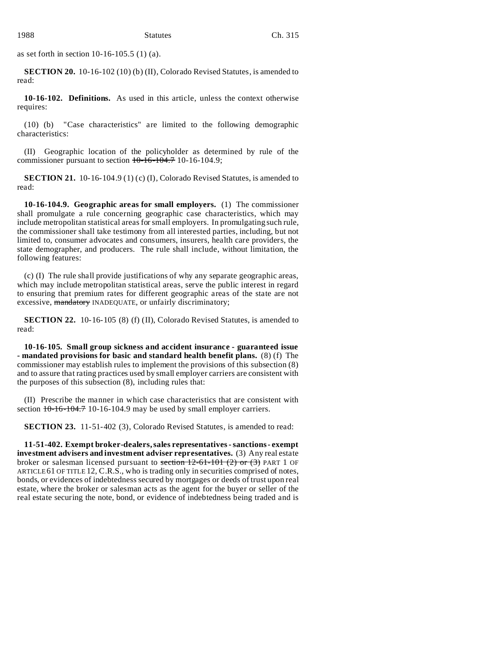as set forth in section 10-16-105.5 (1) (a).

**SECTION 20.** 10-16-102 (10) (b) (II), Colorado Revised Statutes, is amended to read:

**10-16-102. Definitions.** As used in this article, unless the context otherwise requires:

(10) (b) "Case characteristics" are limited to the following demographic characteristics:

(II) Geographic location of the policyholder as determined by rule of the commissioner pursuant to section  $10-16-104.7$  10-16-104.9;

**SECTION 21.** 10-16-104.9 (1) (c) (I), Colorado Revised Statutes, is amended to read:

**10-16-104.9. Geographic areas for small employers.** (1) The commissioner shall promulgate a rule concerning geographic case characteristics, which may include metropolitan statistical areas for small employers. In promulgating such rule, the commissioner shall take testimony from all interested parties, including, but not limited to, consumer advocates and consumers, insurers, health care providers, the state demographer, and producers. The rule shall include, without limitation, the following features:

(c) (I) The rule shall provide justifications of why any separate geographic areas, which may include metropolitan statistical areas, serve the public interest in regard to ensuring that premium rates for different geographic areas of the state are not excessive, mandatory INADEQUATE, or unfairly discriminatory;

**SECTION 22.** 10-16-105 (8) (f) (II), Colorado Revised Statutes, is amended to read:

**10-16-105. Small group sickness and accident insurance - guaranteed issue - mandated provisions for basic and standard health benefit plans.** (8) (f) The commissioner may establish rules to implement the provisions of this subsection (8) and to assure that rating practices used by small employer carriers are consistent with the purposes of this subsection (8), including rules that:

(II) Prescribe the manner in which case characteristics that are consistent with section  $10-16-104.7$  10-16-104.9 may be used by small employer carriers.

**SECTION 23.** 11-51-402 (3), Colorado Revised Statutes, is amended to read:

**11-51-402. Exempt broker-dealers, sales representatives - sanctions - exempt investment advisers and investment adviser representatives.** (3) Any real estate broker or salesman licensed pursuant to section  $12-61-101$  (2) or (3) PART 1 OF ARTICLE 61 OF TITLE 12, C.R.S., who is trading only in securities comprised of notes, bonds, or evidences of indebtedness secured by mortgages or deeds of trust upon real estate, where the broker or salesman acts as the agent for the buyer or seller of the real estate securing the note, bond, or evidence of indebtedness being traded and is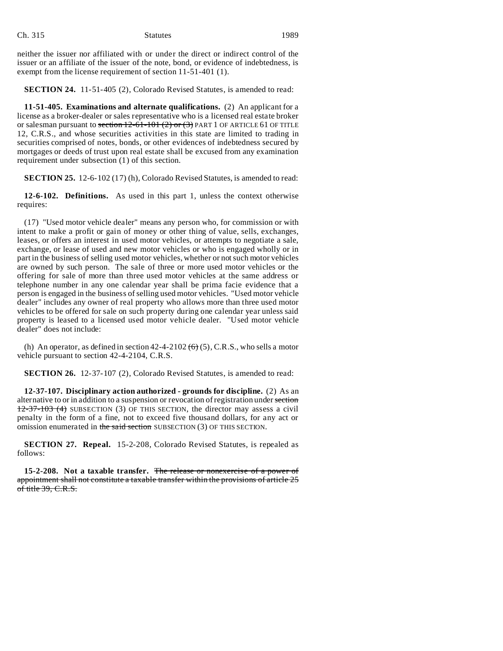Ch. 315 Statutes Statutes 1989

neither the issuer nor affiliated with or under the direct or indirect control of the issuer or an affiliate of the issuer of the note, bond, or evidence of indebtedness, is exempt from the license requirement of section 11-51-401 (1).

**SECTION 24.** 11-51-405 (2), Colorado Revised Statutes, is amended to read:

**11-51-405. Examinations and alternate qualifications.** (2) An applicant for a license as a broker-dealer or sales representative who is a licensed real estate broker or salesman pursuant to section  $12-61-101(2)$  or  $(3)$  PART 1 OF ARTICLE 61 OF TITLE 12, C.R.S., and whose securities activities in this state are limited to trading in securities comprised of notes, bonds, or other evidences of indebtedness secured by mortgages or deeds of trust upon real estate shall be excused from any examination requirement under subsection (1) of this section.

**SECTION 25.** 12-6-102 (17) (h), Colorado Revised Statutes, is amended to read:

**12-6-102. Definitions.** As used in this part 1, unless the context otherwise requires:

(17) "Used motor vehicle dealer" means any person who, for commission or with intent to make a profit or gain of money or other thing of value, sells, exchanges, leases, or offers an interest in used motor vehicles, or attempts to negotiate a sale, exchange, or lease of used and new motor vehicles or who is engaged wholly or in part in the business of selling used motor vehicles, whether or not such motor vehicles are owned by such person. The sale of three or more used motor vehicles or the offering for sale of more than three used motor vehicles at the same address or telephone number in any one calendar year shall be prima facie evidence that a person is engaged in the business of selling used motor vehicles. "Used motor vehicle dealer" includes any owner of real property who allows more than three used motor vehicles to be offered for sale on such property during one calendar year unless said property is leased to a licensed used motor vehicle dealer. "Used motor vehicle dealer" does not include:

(h) An operator, as defined in section  $42-4-2102$  (6) (5), C.R.S., who sells a motor vehicle pursuant to section 42-4-2104, C.R.S.

**SECTION 26.** 12-37-107 (2), Colorado Revised Statutes, is amended to read:

**12-37-107. Disciplinary action authorized - grounds for discipline.** (2) As an alternative to or in addition to a suspension or revocation of registration under section 12-37-103 (4) SUBSECTION (3) OF THIS SECTION, the director may assess a civil penalty in the form of a fine, not to exceed five thousand dollars, for any act or omission enumerated in the said section SUBSECTION (3) OF THIS SECTION.

**SECTION 27. Repeal.** 15-2-208, Colorado Revised Statutes, is repealed as follows:

**15-2-208. Not a taxable transfer.** The release or nonexercise of a power of appointment shall not constitute a taxable transfer within the provisions of article 25 of title 39, C.R.S.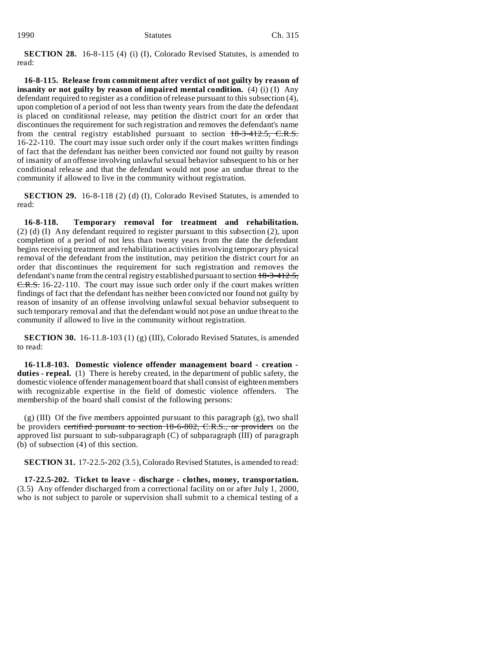**SECTION 28.** 16-8-115 (4) (i) (I), Colorado Revised Statutes, is amended to read:

**16-8-115. Release from commitment after verdict of not guilty by reason of insanity or not guilty by reason of impaired mental condition.** (4) (i) (I) Any defendant required to register as a condition of release pursuant to this subsection (4), upon completion of a period of not less than twenty years from the date the defendant is placed on conditional release, may petition the district court for an order that discontinues the requirement for such registration and removes the defendant's name from the central registry established pursuant to section 18-3-412.5, C.R.S. 16-22-110. The court may issue such order only if the court makes written findings of fact that the defendant has neither been convicted nor found not guilty by reason of insanity of an offense involving unlawful sexual behavior subsequent to his or her conditional release and that the defendant would not pose an undue threat to the community if allowed to live in the community without registration.

**SECTION 29.** 16-8-118 (2) (d) (I), Colorado Revised Statutes, is amended to read:

**16-8-118. Temporary removal for treatment and rehabilitation.** (2) (d) (I) Any defendant required to register pursuant to this subsection (2), upon completion of a period of not less than twenty years from the date the defendant begins receiving treatment and rehabilitation activities involving temporary physical removal of the defendant from the institution, may petition the district court for an order that discontinues the requirement for such registration and removes the defendant's name from the central registry established pursuant to section 18-3-412.5, E.R.S. 16-22-110. The court may issue such order only if the court makes written findings of fact that the defendant has neither been convicted nor found not guilty by reason of insanity of an offense involving unlawful sexual behavior subsequent to such temporary removal and that the defendant would not pose an undue threat to the community if allowed to live in the community without registration.

**SECTION 30.** 16-11.8-103 (1) (g) (III), Colorado Revised Statutes, is amended to read:

**16-11.8-103. Domestic violence offender management board - creation duties - repeal.** (1) There is hereby created, in the department of public safety, the domestic violence offender management board that shall consist of eighteen members with recognizable expertise in the field of domestic violence offenders. The membership of the board shall consist of the following persons:

 $(g)$  (III) Of the five members appointed pursuant to this paragraph  $(g)$ , two shall be providers certified pursuant to section 18-6-802, C.R.S., or providers on the approved list pursuant to sub-subparagraph (C) of subparagraph (III) of paragraph (b) of subsection (4) of this section.

**SECTION 31.** 17-22.5-202 (3.5), Colorado Revised Statutes, is amended to read:

**17-22.5-202. Ticket to leave - discharge - clothes, money, transportation.** (3.5) Any offender discharged from a correctional facility on or after July 1, 2000, who is not subject to parole or supervision shall submit to a chemical testing of a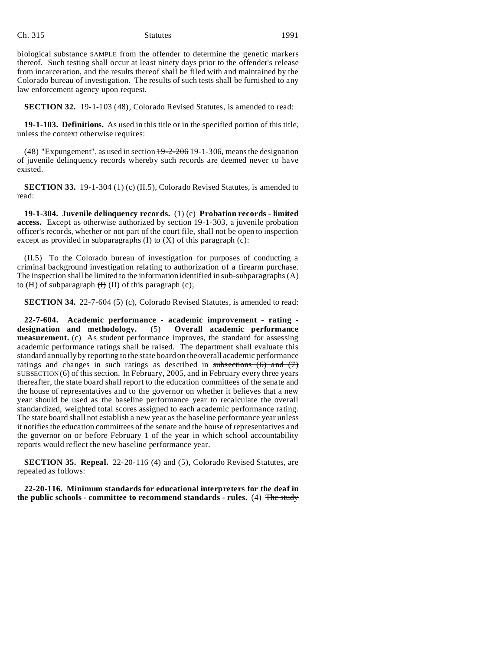#### Ch. 315 Statutes 1991

biological substance SAMPLE from the offender to determine the genetic markers thereof. Such testing shall occur at least ninety days prior to the offender's release from incarceration, and the results thereof shall be filed with and maintained by the Colorado bureau of investigation. The results of such tests shall be furnished to any law enforcement agency upon request.

**SECTION 32.** 19-1-103 (48), Colorado Revised Statutes, is amended to read:

**19-1-103. Definitions.** As used in this title or in the specified portion of this title, unless the context otherwise requires:

(48) "Expungement", as used in section  $\frac{19-2-206}{19-1-306}$ , means the designation of juvenile delinquency records whereby such records are deemed never to have existed.

**SECTION 33.** 19-1-304 (1) (c) (II.5), Colorado Revised Statutes, is amended to read:

**19-1-304. Juvenile delinquency records.** (1) (c) **Probation records - limited access.** Except as otherwise authorized by section 19-1-303, a juvenile probation officer's records, whether or not part of the court file, shall not be open to inspection except as provided in subparagraphs  $(I)$  to  $(X)$  of this paragraph  $(c)$ :

(II.5) To the Colorado bureau of investigation for purposes of conducting a criminal background investigation relating to authorization of a firearm purchase. The inspection shall be limited to the information identified in sub-subparagraphs (A) to  $(H)$  of subparagraph  $(H)$  (II) of this paragraph  $(c)$ ;

**SECTION 34.** 22-7-604 (5) (c), Colorado Revised Statutes, is amended to read:

**22-7-604. Academic performance - academic improvement - rating designation and methodology.** (5) **Overall academic performance measurement.** (c) As student performance improves, the standard for assessing academic performance ratings shall be raised. The department shall evaluate this standard annually by reporting to the state board on the overall academic performance ratings and changes in such ratings as described in subsections  $(6)$  and  $(7)$ SUBSECTION (6) of this section. In February, 2005, and in February every three years thereafter, the state board shall report to the education committees of the senate and the house of representatives and to the governor on whether it believes that a new year should be used as the baseline performance year to recalculate the overall standardized, weighted total scores assigned to each academic performance rating. The state board shall not establish a new year as the baseline performance year unless it notifies the education committees of the senate and the house of representatives and the governor on or before February 1 of the year in which school accountability reports would reflect the new baseline performance year.

**SECTION 35. Repeal.** 22-20-116 (4) and (5), Colorado Revised Statutes, are repealed as follows:

**22-20-116. Minimum standards for educational interpreters for the deaf in the public schools - committee to recommend standards - rules.** (4) The study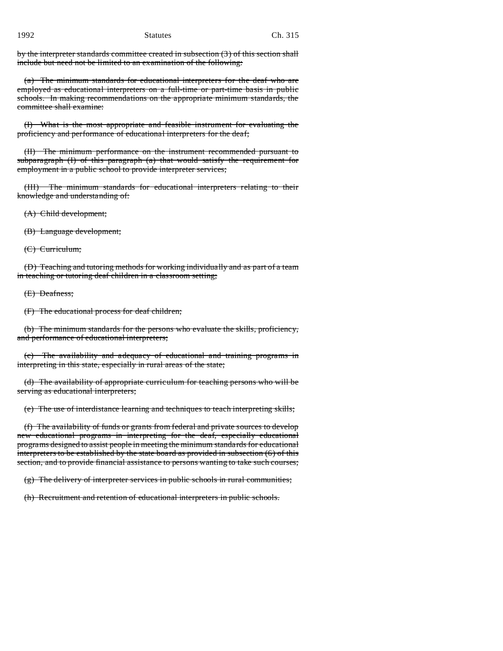by the interpreter standards committee created in subsection (3) of this section shall include but need not be limited to an examination of the following:

(a) The minimum standards for educational interpreters for the deaf who are employed as educational interpreters on a full-time or part-time basis in public schools. In making recommendations on the appropriate minimum standards, the committee shall examine:

(I) What is the most appropriate and feasible instrument for evaluating the proficiency and performance of educational interpreters for the deaf;

(II) The minimum performance on the instrument recommended pursuant to subparagraph (I) of this paragraph (a) that would satisfy the requirement for employment in a public school to provide interpreter services;

(III) The minimum standards for educational interpreters relating to their knowledge and understanding of:

(A) Child development;

(B) Language development;

(C) Curriculum;

(D) Teaching and tutoring methods for working individually and as part of a team in teaching or tutoring deaf children in a classroom setting;

(E) Deafness;

(F) The educational process for deaf children;

(b) The minimum standards for the persons who evaluate the skills, proficiency, and performance of educational interpreters;

(c) The availability and adequacy of educational and training programs in interpreting in this state, especially in rural areas of the state;

(d) The availability of appropriate curriculum for teaching persons who will be serving as educational interpreters;

(e) The use of interdistance learning and techniques to teach interpreting skills;

(f) The availability of funds or grants from federal and private sources to develop new educational programs in interpreting for the deaf, especially educational programs designed to assist people in meeting the minimum standards for educational interpreters to be established by the state board as provided in subsection  $(6)$  of this section, and to provide financial assistance to persons wanting to take such courses;

(g) The delivery of interpreter services in public schools in rural communities;

(h) Recruitment and retention of educational interpreters in public schools.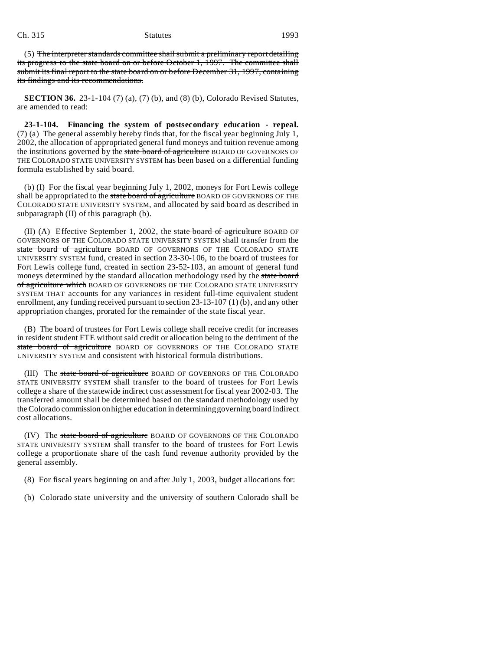#### Ch. 315 Statutes 1993

(5) The interpreter standards committee shall submit a preliminary report detailing its progress to the state board on or before October 1, 1997. The committee shall submit its final report to the state board on or before December 31, 1997, containing its findings and its recommendations.

**SECTION 36.** 23-1-104 (7) (a), (7) (b), and (8) (b), Colorado Revised Statutes, are amended to read:

**23-1-104. Financing the system of postsecondary education - repeal.** (7) (a) The general assembly hereby finds that, for the fiscal year beginning July 1, 2002, the allocation of appropriated general fund moneys and tuition revenue among the institutions governed by the state board of agriculture BOARD OF GOVERNORS OF THE COLORADO STATE UNIVERSITY SYSTEM has been based on a differential funding formula established by said board.

(b) (I) For the fiscal year beginning July 1, 2002, moneys for Fort Lewis college shall be appropriated to the state board of agriculture BOARD OF GOVERNORS OF THE COLORADO STATE UNIVERSITY SYSTEM, and allocated by said board as described in subparagraph (II) of this paragraph (b).

(II) (A) Effective September 1, 2002, the state board of agriculture BOARD OF GOVERNORS OF THE COLORADO STATE UNIVERSITY SYSTEM shall transfer from the state board of agriculture BOARD OF GOVERNORS OF THE COLORADO STATE UNIVERSITY SYSTEM fund, created in section 23-30-106, to the board of trustees for Fort Lewis college fund, created in section 23-52-103, an amount of general fund moneys determined by the standard allocation methodology used by the state board of agriculture which BOARD OF GOVERNORS OF THE COLORADO STATE UNIVERSITY SYSTEM THAT accounts for any variances in resident full-time equivalent student enrollment, any funding received pursuant to section 23-13-107 (1) (b), and any other appropriation changes, prorated for the remainder of the state fiscal year.

(B) The board of trustees for Fort Lewis college shall receive credit for increases in resident student FTE without said credit or allocation being to the detriment of the state board of agriculture BOARD OF GOVERNORS OF THE COLORADO STATE UNIVERSITY SYSTEM and consistent with historical formula distributions.

(III) The state board of agriculture BOARD OF GOVERNORS OF THE COLORADO STATE UNIVERSITY SYSTEM shall transfer to the board of trustees for Fort Lewis college a share of the statewide indirect cost assessment for fiscal year 2002-03. The transferred amount shall be determined based on the standard methodology used by the Colorado commission on higher education in determining governing board indirect cost allocations.

(IV) The state board of agriculture BOARD OF GOVERNORS OF THE COLORADO STATE UNIVERSITY SYSTEM shall transfer to the board of trustees for Fort Lewis college a proportionate share of the cash fund revenue authority provided by the general assembly.

- (8) For fiscal years beginning on and after July 1, 2003, budget allocations for:
- (b) Colorado state university and the university of southern Colorado shall be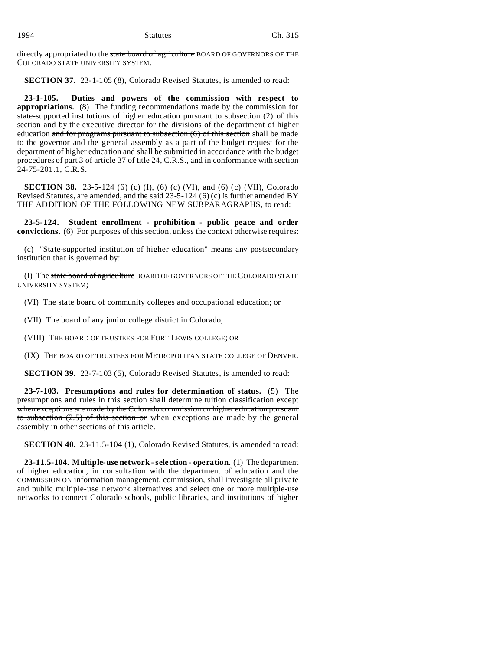|--|--|--|--|--|--|

directly appropriated to the state board of agriculture BOARD OF GOVERNORS OF THE COLORADO STATE UNIVERSITY SYSTEM.

**SECTION 37.** 23-1-105 (8), Colorado Revised Statutes, is amended to read:

**23-1-105. Duties and powers of the commission with respect to appropriations.** (8) The funding recommendations made by the commission for state-supported institutions of higher education pursuant to subsection (2) of this section and by the executive director for the divisions of the department of higher education and for programs pursuant to subsection  $(6)$  of this section shall be made to the governor and the general assembly as a part of the budget request for the department of higher education and shall be submitted in accordance with the budget procedures of part 3 of article 37 of title 24, C.R.S., and in conformance with section 24-75-201.1, C.R.S.

**SECTION 38.** 23-5-124 (6) (c) (I), (6) (c) (VI), and (6) (c) (VII), Colorado Revised Statutes, are amended, and the said  $23-5-124$  (6) (c) is further amended BY THE ADDITION OF THE FOLLOWING NEW SUBPARAGRAPHS, to read:

**23-5-124. Student enrollment - prohibition - public peace and order convictions.** (6) For purposes of this section, unless the context otherwise requires:

(c) "State-supported institution of higher education" means any postsecondary institution that is governed by:

(I) The state board of agriculture BOARD OF GOVERNORS OF THE COLORADO STATE UNIVERSITY SYSTEM;

(VI) The state board of community colleges and occupational education; or

(VII) The board of any junior college district in Colorado;

(VIII) THE BOARD OF TRUSTEES FOR FORT LEWIS COLLEGE; OR

(IX) THE BOARD OF TRUSTEES FOR METROPOLITAN STATE COLLEGE OF DENVER.

**SECTION 39.** 23-7-103 (5), Colorado Revised Statutes, is amended to read:

**23-7-103. Presumptions and rules for determination of status.** (5) The presumptions and rules in this section shall determine tuition classification except when exceptions are made by the Colorado commission on higher education pursuant to subsection  $(2.5)$  of this section or when exceptions are made by the general assembly in other sections of this article.

**SECTION 40.** 23-11.5-104 (1), Colorado Revised Statutes, is amended to read:

**23-11.5-104. Multiple-use network - selection - operation.** (1) The department of higher education, in consultation with the department of education and the COMMISSION ON information management, commission, shall investigate all private and public multiple-use network alternatives and select one or more multiple-use networks to connect Colorado schools, public libraries, and institutions of higher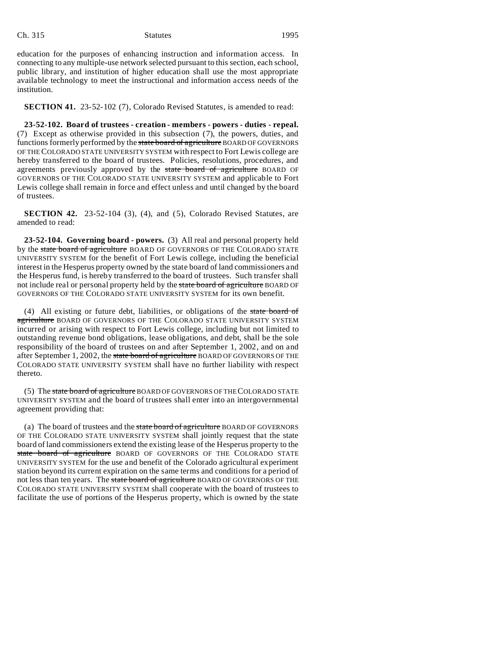#### Ch. 315 Statutes 1995

education for the purposes of enhancing instruction and information access. In connecting to any multiple-use network selected pursuant to this section, each school, public library, and institution of higher education shall use the most appropriate available technology to meet the instructional and information access needs of the institution.

**SECTION 41.** 23-52-102 (7), Colorado Revised Statutes, is amended to read:

**23-52-102. Board of trustees - creation - members - powers - duties - repeal.** (7) Except as otherwise provided in this subsection (7), the powers, duties, and functions formerly performed by the state board of agriculture BOARD OF GOVERNORS OF THE COLORADO STATE UNIVERSITY SYSTEM with respect to Fort Lewis college are hereby transferred to the board of trustees. Policies, resolutions, procedures, and agreements previously approved by the state board of agriculture BOARD OF GOVERNORS OF THE COLORADO STATE UNIVERSITY SYSTEM and applicable to Fort Lewis college shall remain in force and effect unless and until changed by the board of trustees.

**SECTION 42.** 23-52-104 (3), (4), and (5), Colorado Revised Statutes, are amended to read:

**23-52-104. Governing board - powers.** (3) All real and personal property held by the state board of agriculture BOARD OF GOVERNORS OF THE COLORADO STATE UNIVERSITY SYSTEM for the benefit of Fort Lewis college, including the beneficial interest in the Hesperus property owned by the state board of land commissioners and the Hesperus fund, is hereby transferred to the board of trustees. Such transfer shall not include real or personal property held by the state board of agriculture BOARD OF GOVERNORS OF THE COLORADO STATE UNIVERSITY SYSTEM for its own benefit.

(4) All existing or future debt, liabilities, or obligations of the state board of agriculture BOARD OF GOVERNORS OF THE COLORADO STATE UNIVERSITY SYSTEM incurred or arising with respect to Fort Lewis college, including but not limited to outstanding revenue bond obligations, lease obligations, and debt, shall be the sole responsibility of the board of trustees on and after September 1, 2002, and on and after September 1, 2002, the state board of agriculture BOARD OF GOVERNORS OF THE COLORADO STATE UNIVERSITY SYSTEM shall have no further liability with respect thereto.

(5) The state board of agriculture BOARD OF GOVERNORS OF THECOLORADO STATE UNIVERSITY SYSTEM and the board of trustees shall enter into an intergovernmental agreement providing that:

(a) The board of trustees and the state board of agriculture BOARD OF GOVERNORS OF THE COLORADO STATE UNIVERSITY SYSTEM shall jointly request that the state board of land commissioners extend the existing lease of the Hesperus property to the state board of agriculture BOARD OF GOVERNORS OF THE COLORADO STATE UNIVERSITY SYSTEM for the use and benefit of the Colorado agricultural experiment station beyond its current expiration on the same terms and conditions for a period of not less than ten years. The state board of agriculture BOARD OF GOVERNORS OF THE COLORADO STATE UNIVERSITY SYSTEM shall cooperate with the board of trustees to facilitate the use of portions of the Hesperus property, which is owned by the state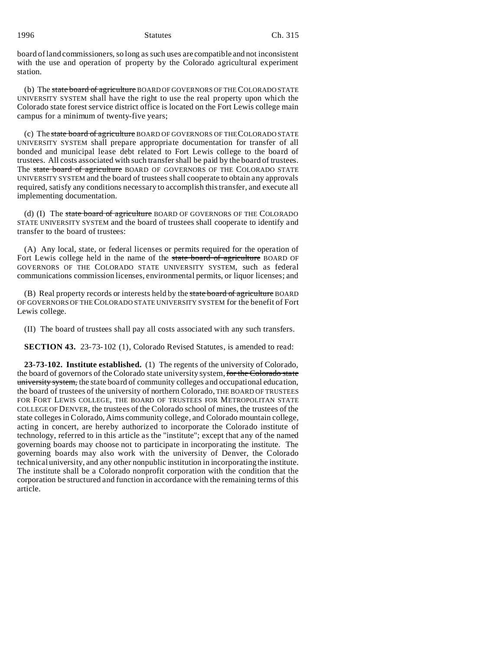board of land commissioners, so long as such uses are compatible and not inconsistent with the use and operation of property by the Colorado agricultural experiment station.

(b) The state board of agriculture BOARD OF GOVERNORS OF THE COLORADO STATE UNIVERSITY SYSTEM shall have the right to use the real property upon which the Colorado state forest service district office is located on the Fort Lewis college main campus for a minimum of twenty-five years;

(c) The state board of agriculture BOARD OF GOVERNORS OF THECOLORADO STATE UNIVERSITY SYSTEM shall prepare appropriate documentation for transfer of all bonded and municipal lease debt related to Fort Lewis college to the board of trustees. All costs associated with such transfer shall be paid by the board of trustees. The state board of agriculture BOARD OF GOVERNORS OF THE COLORADO STATE UNIVERSITY SYSTEM and the board of trustees shall cooperate to obtain any approvals required, satisfy any conditions necessary to accomplish this transfer, and execute all implementing documentation.

(d) (I) The state board of agriculture BOARD OF GOVERNORS OF THE COLORADO STATE UNIVERSITY SYSTEM and the board of trustees shall cooperate to identify and transfer to the board of trustees:

(A) Any local, state, or federal licenses or permits required for the operation of Fort Lewis college held in the name of the state board of agriculture BOARD OF GOVERNORS OF THE COLORADO STATE UNIVERSITY SYSTEM, such as federal communications commission licenses, environmental permits, or liquor licenses; and

(B) Real property records or interests held by the state board of agriculture BOARD OF GOVERNORS OF THE COLORADO STATE UNIVERSITY SYSTEM for the benefit of Fort Lewis college.

(II) The board of trustees shall pay all costs associated with any such transfers.

**SECTION 43.** 23-73-102 (1), Colorado Revised Statutes, is amended to read:

**23-73-102. Institute established.** (1) The regents of the university of Colorado, the board of governors of the Colorado state university system, for the Colorado state university system, the state board of community colleges and occupational education, the board of trustees of the university of northern Colorado, THE BOARD OF TRUSTEES FOR FORT LEWIS COLLEGE, THE BOARD OF TRUSTEES FOR METROPOLITAN STATE COLLEGE OF DENVER, the trustees of the Colorado school of mines, the trustees of the state colleges in Colorado, Aims community college, and Colorado mountain college, acting in concert, are hereby authorized to incorporate the Colorado institute of technology, referred to in this article as the "institute"; except that any of the named governing boards may choose not to participate in incorporating the institute. The governing boards may also work with the university of Denver, the Colorado technical university, and any other nonpublic institution in incorporating the institute. The institute shall be a Colorado nonprofit corporation with the condition that the corporation be structured and function in accordance with the remaining terms of this article.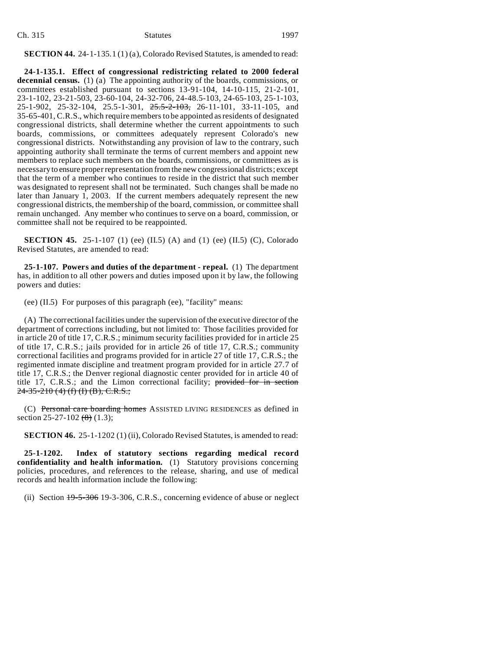| Ch. 315 | <b>Statutes</b> | 1997 |
|---------|-----------------|------|
|         |                 |      |

**SECTION 44.** 24-1-135.1 (1) (a), Colorado Revised Statutes, is amended to read:

**24-1-135.1. Effect of congressional redistricting related to 2000 federal decennial census.** (1) (a) The appointing authority of the boards, commissions, or committees established pursuant to sections 13-91-104, 14-10-115, 21-2-101, 23-1-102, 23-21-503, 23-60-104, 24-32-706, 24-48.5-103, 24-65-103, 25-1-103, 25-1-902, 25-32-104, 25.5-1-301, 25.5-2-103, 26-11-101, 33-11-105, and 35-65-401, C.R.S., which require members to be appointed as residents of designated congressional districts, shall determine whether the current appointments to such boards, commissions, or committees adequately represent Colorado's new congressional districts. Notwithstanding any provision of law to the contrary, such appointing authority shall terminate the terms of current members and appoint new members to replace such members on the boards, commissions, or committees as is necessary to ensure proper representation from the new congressional districts; except that the term of a member who continues to reside in the district that such member was designated to represent shall not be terminated. Such changes shall be made no later than January 1, 2003. If the current members adequately represent the new congressional districts, the membership of the board, commission, or committee shall remain unchanged. Any member who continues to serve on a board, commission, or committee shall not be required to be reappointed.

**SECTION 45.** 25-1-107 (1) (ee) (II.5) (A) and (1) (ee) (II.5) (C), Colorado Revised Statutes, are amended to read:

**25-1-107. Powers and duties of the department - repeal.** (1) The department has, in addition to all other powers and duties imposed upon it by law, the following powers and duties:

(ee) (II.5) For purposes of this paragraph (ee), "facility" means:

(A) The correctional facilities under the supervision of the executive director of the department of corrections including, but not limited to: Those facilities provided for in article 20 of title 17, C.R.S.; minimum security facilities provided for in article 25 of title 17, C.R.S.; jails provided for in article 26 of title 17, C.R.S.; community correctional facilities and programs provided for in article 27 of title 17, C.R.S.; the regimented inmate discipline and treatment program provided for in article 27.7 of title 17, C.R.S.; the Denver regional diagnostic center provided for in article 40 of title 17, C.R.S.; and the Limon correctional facility; provided for in section  $24-35-210$  (4) (f) (I) (B), C.R.S.;

(C) Personal care boarding homes ASSISTED LIVING RESIDENCES as defined in section 25-27-102  $(8)$  (1.3);

**SECTION 46.** 25-1-1202 (1) (ii), Colorado Revised Statutes, is amended to read:

**25-1-1202. Index of statutory sections regarding medical record confidentiality and health information.** (1) Statutory provisions concerning policies, procedures, and references to the release, sharing, and use of medical records and health information include the following:

(ii) Section 19-5-306 19-3-306, C.R.S., concerning evidence of abuse or neglect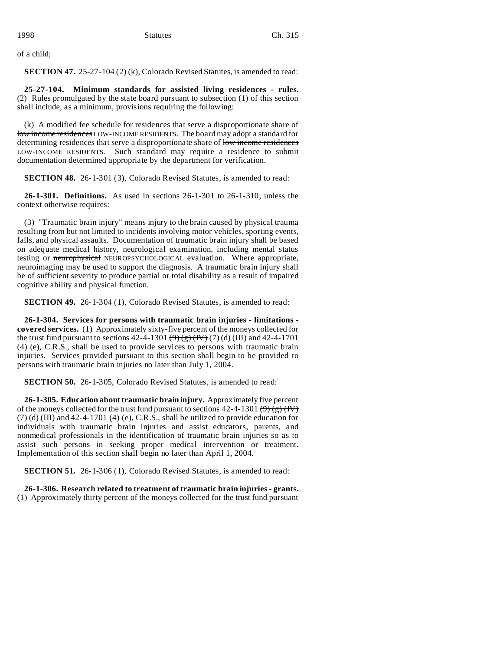of a child;

**SECTION 47.** 25-27-104 (2) (k), Colorado Revised Statutes, is amended to read:

**25-27-104. Minimum standards for assisted living residences - rules.** (2) Rules promulgated by the state board pursuant to subsection (1) of this section shall include, as a minimum, provisions requiring the following:

(k) A modified fee schedule for residences that serve a disproportionate share of low income residences LOW-INCOME RESIDENTS. The board may adopt a standard for determining residences that serve a disproportionate share of low income residences LOW-INCOME RESIDENTS. Such standard may require a residence to submit documentation determined appropriate by the department for verification.

**SECTION 48.** 26-1-301 (3), Colorado Revised Statutes, is amended to read:

**26-1-301. Definitions.** As used in sections 26-1-301 to 26-1-310, unless the context otherwise requires:

(3) "Traumatic brain injury" means injury to the brain caused by physical trauma resulting from but not limited to incidents involving motor vehicles, sporting events, falls, and physical assaults. Documentation of traumatic brain injury shall be based on adequate medical history, neurological examination, including mental status testing or neurophysical NEUROPSYCHOLOGICAL evaluation. Where appropriate, neuroimaging may be used to support the diagnosis. A traumatic brain injury shall be of sufficient severity to produce partial or total disability as a result of impaired cognitive ability and physical function.

**SECTION 49.** 26-1-304 (1), Colorado Revised Statutes, is amended to read:

**26-1-304. Services for persons with traumatic brain injuries - limitations covered services.** (1) Approximately sixty-five percent of the moneys collected for the trust fund pursuant to sections  $42-4-1301 \left(\frac{9}{2}\right) \left(\frac{1}{2}\right)$  (7) (d) (III) and  $42-4-1701$ (4) (e), C.R.S., shall be used to provide services to persons with traumatic brain injuries. Services provided pursuant to this section shall begin to be provided to persons with traumatic brain injuries no later than July 1, 2004.

**SECTION 50.** 26-1-305, Colorado Revised Statutes, is amended to read:

**26-1-305. Education about traumatic brain injury.** Approximately five percent of the moneys collected for the trust fund pursuant to sections  $42-4-1301 \left( 9 \right)$   $\left( 8 \right)$  (IV)  $(7)$  (d) (III) and 42-4-1701 (4) (e), C.R.S., shall be utilized to provide education for individuals with traumatic brain injuries and assist educators, parents, and nonmedical professionals in the identification of traumatic brain injuries so as to assist such persons in seeking proper medical intervention or treatment. Implementation of this section shall begin no later than April 1, 2004.

**SECTION 51.** 26-1-306 (1), Colorado Revised Statutes, is amended to read:

**26-1-306. Research related to treatment of traumatic brain injuries - grants.** (1) Approximately thirty percent of the moneys collected for the trust fund pursuant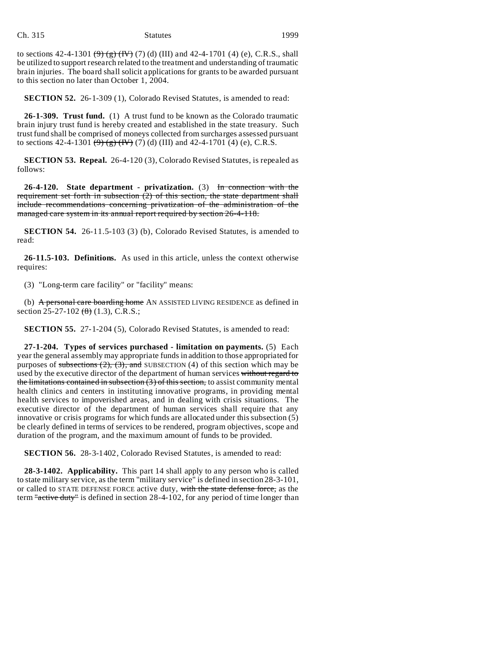to sections 42-4-1301  $\left(\frac{9}{5}\right)\left(\frac{1}{1}\right)$  (7) (d) (III) and 42-4-1701 (4) (e), C.R.S., shall be utilized to support research related to the treatment and understanding of traumatic brain injuries. The board shall solicit applications for grants to be awarded pursuant to this section no later than October 1, 2004.

**SECTION 52.** 26-1-309 (1), Colorado Revised Statutes, is amended to read:

**26-1-309. Trust fund.** (1) A trust fund to be known as the Colorado traumatic brain injury trust fund is hereby created and established in the state treasury. Such trust fund shall be comprised of moneys collected from surcharges assessed pursuant to sections 42-4-1301  $(9)$   $(9)$   $(1)$   $(1)$   $(2)$   $(3)$   $(1)$  and 42-4-1701  $(4)$   $(e)$ , C.R.S.

**SECTION 53. Repeal.** 26-4-120 (3), Colorado Revised Statutes, is repealed as follows:

**26-4-120. State department - privatization.** (3) In connection with the requirement set forth in subsection  $(2)$  of this section, the state department shall include recommendations concerning privatization of the administration of the managed care system in its annual report required by section 26-4-118.

**SECTION 54.** 26-11.5-103 (3) (b), Colorado Revised Statutes, is amended to read:

**26-11.5-103. Definitions.** As used in this article, unless the context otherwise requires:

(3) "Long-term care facility" or "facility" means:

(b) A personal care boarding home AN ASSISTED LIVING RESIDENCE as defined in section 25-27-102 (8) (1.3), C.R.S.;

**SECTION 55.** 27-1-204 (5), Colorado Revised Statutes, is amended to read:

**27-1-204. Types of services purchased - limitation on payments.** (5) Each year the general assembly may appropriate funds in addition to those appropriated for purposes of subsections  $(2)$ ,  $(3)$ , and SUBSECTION  $(4)$  of this section which may be used by the executive director of the department of human services without regard to the limitations contained in subsection  $(3)$  of this section, to assist community mental health clinics and centers in instituting innovative programs, in providing mental health services to impoverished areas, and in dealing with crisis situations. The executive director of the department of human services shall require that any innovative or crisis programs for which funds are allocated under this subsection (5) be clearly defined in terms of services to be rendered, program objectives, scope and duration of the program, and the maximum amount of funds to be provided.

**SECTION 56.** 28-3-1402, Colorado Revised Statutes, is amended to read:

**28-3-1402. Applicability.** This part 14 shall apply to any person who is called to state military service, as the term "military service" is defined in section 28-3-101, or called to STATE DEFENSE FORCE active duty, with the state defense force, as the term "active duty" is defined in section 28-4-102, for any period of time longer than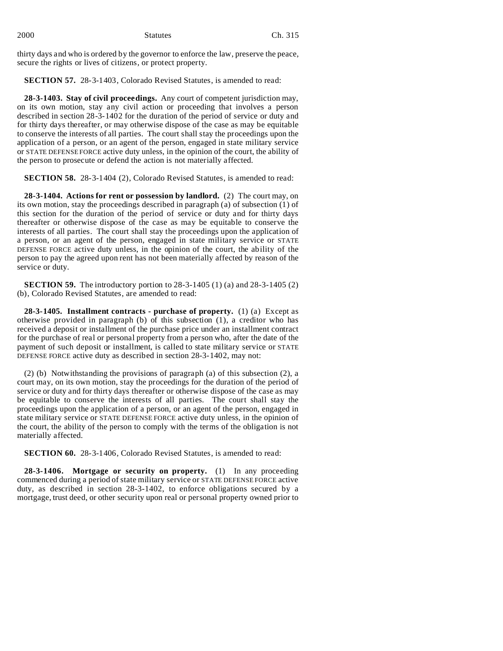| 2000 | <b>Statutes</b> | Ch. 315 |
|------|-----------------|---------|
|      |                 |         |

thirty days and who is ordered by the governor to enforce the law, preserve the peace, secure the rights or lives of citizens, or protect property.

**SECTION 57.** 28-3-1403, Colorado Revised Statutes, is amended to read:

**28-3-1403. Stay of civil proceedings.** Any court of competent jurisdiction may, on its own motion, stay any civil action or proceeding that involves a person described in section 28-3-1402 for the duration of the period of service or duty and for thirty days thereafter, or may otherwise dispose of the case as may be equitable to conserve the interests of all parties. The court shall stay the proceedings upon the application of a person, or an agent of the person, engaged in state military service or STATE DEFENSE FORCE active duty unless, in the opinion of the court, the ability of the person to prosecute or defend the action is not materially affected.

**SECTION 58.** 28-3-1404 (2), Colorado Revised Statutes, is amended to read:

**28-3-1404. Actions for rent or possession by landlord.** (2) The court may, on its own motion, stay the proceedings described in paragraph (a) of subsection (1) of this section for the duration of the period of service or duty and for thirty days thereafter or otherwise dispose of the case as may be equitable to conserve the interests of all parties. The court shall stay the proceedings upon the application of a person, or an agent of the person, engaged in state military service or STATE DEFENSE FORCE active duty unless, in the opinion of the court, the ability of the person to pay the agreed upon rent has not been materially affected by reason of the service or duty.

**SECTION 59.** The introductory portion to 28-3-1405 (1) (a) and 28-3-1405 (2) (b), Colorado Revised Statutes, are amended to read:

**28-3-1405. Installment contracts - purchase of property.** (1) (a) Except as otherwise provided in paragraph (b) of this subsection (1), a creditor who has received a deposit or installment of the purchase price under an installment contract for the purchase of real or personal property from a person who, after the date of the payment of such deposit or installment, is called to state military service or STATE DEFENSE FORCE active duty as described in section 28-3-1402, may not:

(2) (b) Notwithstanding the provisions of paragraph (a) of this subsection (2), a court may, on its own motion, stay the proceedings for the duration of the period of service or duty and for thirty days thereafter or otherwise dispose of the case as may be equitable to conserve the interests of all parties. The court shall stay the proceedings upon the application of a person, or an agent of the person, engaged in state military service or STATE DEFENSE FORCE active duty unless, in the opinion of the court, the ability of the person to comply with the terms of the obligation is not materially affected.

**SECTION 60.** 28-3-1406, Colorado Revised Statutes, is amended to read:

**28-3-1406. Mortgage or security on property.** (1) In any proceeding commenced during a period of state military service or STATE DEFENSE FORCE active duty, as described in section 28-3-1402, to enforce obligations secured by a mortgage, trust deed, or other security upon real or personal property owned prior to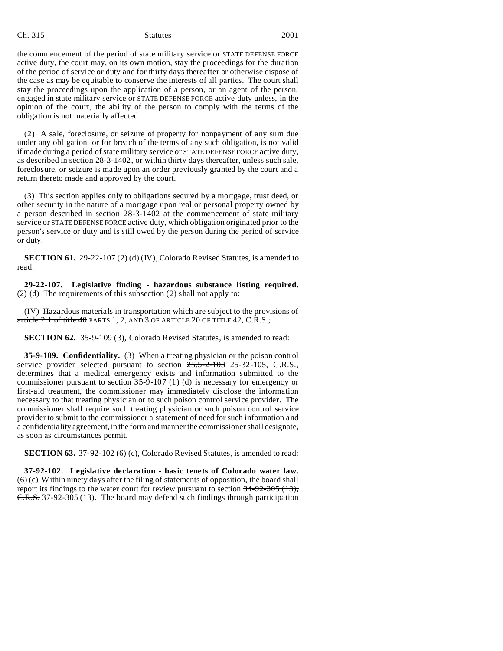#### Ch. 315 Statutes 2001

the commencement of the period of state military service or STATE DEFENSE FORCE active duty, the court may, on its own motion, stay the proceedings for the duration of the period of service or duty and for thirty days thereafter or otherwise dispose of the case as may be equitable to conserve the interests of all parties. The court shall stay the proceedings upon the application of a person, or an agent of the person, engaged in state military service or STATE DEFENSE FORCE active duty unless, in the opinion of the court, the ability of the person to comply with the terms of the obligation is not materially affected.

(2) A sale, foreclosure, or seizure of property for nonpayment of any sum due under any obligation, or for breach of the terms of any such obligation, is not valid if made during a period of state military service or STATE DEFENSE FORCE active duty, as described in section 28-3-1402, or within thirty days thereafter, unless such sale, foreclosure, or seizure is made upon an order previously granted by the court and a return thereto made and approved by the court.

(3) This section applies only to obligations secured by a mortgage, trust deed, or other security in the nature of a mortgage upon real or personal property owned by a person described in section 28-3-1402 at the commencement of state military service or STATE DEFENSE FORCE active duty, which obligation originated prior to the person's service or duty and is still owed by the person during the period of service or duty.

**SECTION 61.** 29-22-107 (2) (d) (IV), Colorado Revised Statutes, is amended to read:

**29-22-107. Legislative finding - hazardous substance listing required.** (2) (d) The requirements of this subsection (2) shall not apply to:

(IV) Hazardous materials in transportation which are subject to the provisions of article  $2.1$  of title  $40$  PARTS 1, 2, AND 3 OF ARTICLE 20 OF TITLE 42, C.R.S.;

**SECTION 62.** 35-9-109 (3), Colorado Revised Statutes, is amended to read:

**35-9-109. Confidentiality.** (3) When a treating physician or the poison control service provider selected pursuant to section  $25.5-2-103$  25-32-105, C.R.S., determines that a medical emergency exists and information submitted to the commissioner pursuant to section 35-9-107 (1) (d) is necessary for emergency or first-aid treatment, the commissioner may immediately disclose the information necessary to that treating physician or to such poison control service provider. The commissioner shall require such treating physician or such poison control service provider to submit to the commissioner a statement of need for such information and a confidentiality agreement, in the form and manner the commissioner shall designate, as soon as circumstances permit.

**SECTION 63.** 37-92-102 (6) (c), Colorado Revised Statutes, is amended to read:

**37-92-102. Legislative declaration - basic tenets of Colorado water law.** (6) (c) Within ninety days after the filing of statements of opposition, the board shall report its findings to the water court for review pursuant to section  $34-92-305$  (13), C.R.S. 37-92-305 (13). The board may defend such findings through participation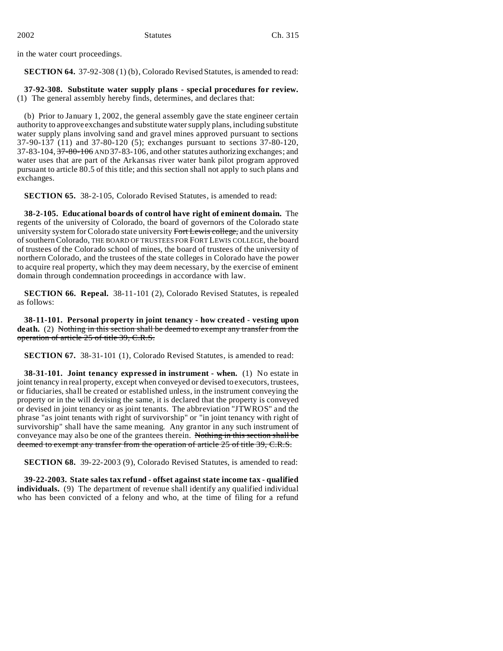in the water court proceedings.

**SECTION 64.** 37-92-308 (1) (b), Colorado Revised Statutes, is amended to read:

**37-92-308. Substitute water supply plans - special procedures for review.** (1) The general assembly hereby finds, determines, and declares that:

(b) Prior to January 1, 2002, the general assembly gave the state engineer certain authority to approve exchanges and substitute water supply plans, including substitute water supply plans involving sand and gravel mines approved pursuant to sections 37-90-137 (11) and 37-80-120 (5); exchanges pursuant to sections 37-80-120,  $37-83-104$ ,  $37-80-106$  AND  $37-83-106$ , and other statutes authorizing exchanges; and water uses that are part of the Arkansas river water bank pilot program approved pursuant to article 80.5 of this title; and this section shall not apply to such plans and exchanges.

**SECTION 65.** 38-2-105, Colorado Revised Statutes, is amended to read:

**38-2-105. Educational boards of control have right of eminent domain.** The regents of the university of Colorado, the board of governors of the Colorado state university system for Colorado state university Fort Lewis college, and the university of southern Colorado, THE BOARD OF TRUSTEES FOR FORT LEWIS COLLEGE, the board of trustees of the Colorado school of mines, the board of trustees of the university of northern Colorado, and the trustees of the state colleges in Colorado have the power to acquire real property, which they may deem necessary, by the exercise of eminent domain through condemnation proceedings in accordance with law.

**SECTION 66. Repeal.** 38-11-101 (2), Colorado Revised Statutes, is repealed as follows:

**38-11-101. Personal property in joint tenancy - how created - vesting upon death.** (2) Nothing in this section shall be deemed to exempt any transfer from the operation of article 25 of title 39, C.R.S.

**SECTION 67.** 38-31-101 (1), Colorado Revised Statutes, is amended to read:

**38-31-101. Joint tenancy expressed in instrument - when.** (1) No estate in joint tenancy in real property, except when conveyed or devised to executors, trustees, or fiduciaries, shall be created or established unless, in the instrument conveying the property or in the will devising the same, it is declared that the property is conveyed or devised in joint tenancy or as joint tenants. The abbreviation "JTWROS" and the phrase "as joint tenants with right of survivorship" or "in joint tenancy with right of survivorship" shall have the same meaning. Any grantor in any such instrument of conveyance may also be one of the grantees therein. Nothing in this section shall be deemed to exempt any transfer from the operation of article 25 of title 39, C.R.S.

**SECTION 68.** 39-22-2003 (9), Colorado Revised Statutes, is amended to read:

**39-22-2003. State sales tax refund - offset against state income tax - qualified individuals.** (9) The department of revenue shall identify any qualified individual who has been convicted of a felony and who, at the time of filing for a refund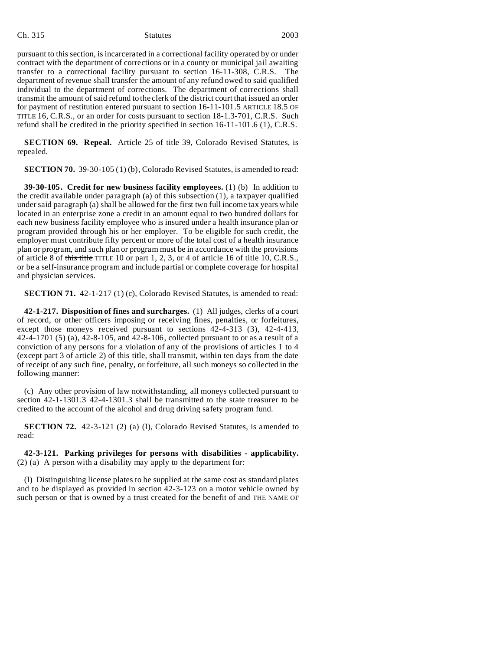#### Ch. 315 Statutes 2003

pursuant to this section, is incarcerated in a correctional facility operated by or under contract with the department of corrections or in a county or municipal jail awaiting transfer to a correctional facility pursuant to section 16-11-308, C.R.S. The department of revenue shall transfer the amount of any refund owed to said qualified individual to the department of corrections. The department of corrections shall transmit the amount of said refund to the clerk of the district court that issued an order for payment of restitution entered pursuant to section 16-11-101.5 ARTICLE 18.5 OF TITLE 16, C.R.S., or an order for costs pursuant to section 18-1.3-701, C.R.S. Such refund shall be credited in the priority specified in section 16-11-101.6 (1), C.R.S.

**SECTION 69. Repeal.** Article 25 of title 39, Colorado Revised Statutes, is repealed.

**SECTION 70.** 39-30-105 (1) (b), Colorado Revised Statutes, is amended to read:

**39-30-105. Credit for new business facility employees.** (1) (b) In addition to the credit available under paragraph (a) of this subsection (1), a taxpayer qualified under said paragraph (a) shall be allowed for the first two full income tax years while located in an enterprise zone a credit in an amount equal to two hundred dollars for each new business facility employee who is insured under a health insurance plan or program provided through his or her employer. To be eligible for such credit, the employer must contribute fifty percent or more of the total cost of a health insurance plan or program, and such plan or program must be in accordance with the provisions of article 8 of this title TITLE 10 or part 1, 2, 3, or 4 of article 16 of title 10, C.R.S., or be a self-insurance program and include partial or complete coverage for hospital and physician services.

**SECTION 71.** 42-1-217 (1) (c), Colorado Revised Statutes, is amended to read:

**42-1-217. Disposition of fines and surcharges.** (1) All judges, clerks of a court of record, or other officers imposing or receiving fines, penalties, or forfeitures, except those moneys received pursuant to sections 42-4-313 (3), 42-4-413, 42-4-1701 (5) (a), 42-8-105, and 42-8-106, collected pursuant to or as a result of a conviction of any persons for a violation of any of the provisions of articles 1 to 4 (except part 3 of article 2) of this title, shall transmit, within ten days from the date of receipt of any such fine, penalty, or forfeiture, all such moneys so collected in the following manner:

(c) Any other provision of law notwithstanding, all moneys collected pursuant to section  $42-1-1301.3$  42-4-1301.3 shall be transmitted to the state treasurer to be credited to the account of the alcohol and drug driving safety program fund.

**SECTION 72.** 42-3-121 (2) (a) (I), Colorado Revised Statutes, is amended to read:

**42-3-121. Parking privileges for persons with disabilities - applicability.** (2) (a) A person with a disability may apply to the department for:

(I) Distinguishing license plates to be supplied at the same cost as standard plates and to be displayed as provided in section 42-3-123 on a motor vehicle owned by such person or that is owned by a trust created for the benefit of and THE NAME OF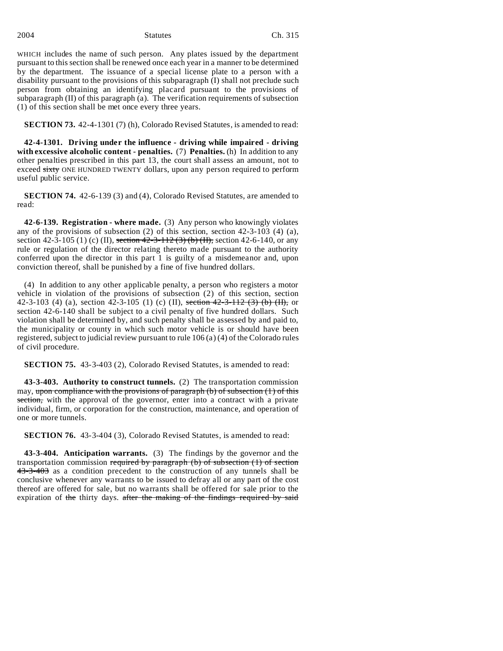WHICH includes the name of such person. Any plates issued by the department pursuant to this section shall be renewed once each year in a manner to be determined by the department. The issuance of a special license plate to a person with a disability pursuant to the provisions of this subparagraph (I) shall not preclude such person from obtaining an identifying placard pursuant to the provisions of subparagraph (II) of this paragraph (a). The verification requirements of subsection (1) of this section shall be met once every three years.

**SECTION 73.** 42-4-1301 (7) (h), Colorado Revised Statutes, is amended to read:

**42-4-1301. Driving under the influence - driving while impaired - driving with excessive alcoholic content - penalties.** (7) **Penalties.** (h) In addition to any other penalties prescribed in this part 13, the court shall assess an amount, not to exceed sixty ONE HUNDRED TWENTY dollars, upon any person required to perform useful public service.

**SECTION 74.** 42-6-139 (3) and (4), Colorado Revised Statutes, are amended to read:

**42-6-139. Registration - where made.** (3) Any person who knowingly violates any of the provisions of subsection  $(2)$  of this section, section  $42-3-103$   $(4)$   $(a)$ , section 42-3-105 (1) (c) (II), section  $42-3-112$  (3) (b) (II), section 42-6-140, or any rule or regulation of the director relating thereto made pursuant to the authority conferred upon the director in this part 1 is guilty of a misdemeanor and, upon conviction thereof, shall be punished by a fine of five hundred dollars.

(4) In addition to any other applicable penalty, a person who registers a motor vehicle in violation of the provisions of subsection (2) of this section, section 42-3-103 (4) (a), section 42-3-105 (1) (c) (II), section 42-3-112 (3) (b) (II), or section 42-6-140 shall be subject to a civil penalty of five hundred dollars. Such violation shall be determined by, and such penalty shall be assessed by and paid to, the municipality or county in which such motor vehicle is or should have been registered, subject to judicial review pursuant to rule 106 (a) (4) of the Colorado rules of civil procedure.

**SECTION 75.** 43-3-403 (2), Colorado Revised Statutes, is amended to read:

**43-3-403. Authority to construct tunnels.** (2) The transportation commission may, upon compliance with the provisions of paragraph (b) of subsection (1) of this section, with the approval of the governor, enter into a contract with a private individual, firm, or corporation for the construction, maintenance, and operation of one or more tunnels.

**SECTION 76.** 43-3-404 (3), Colorado Revised Statutes, is amended to read:

**43-3-404. Anticipation warrants.** (3) The findings by the governor and the transportation commission required by paragraph (b) of subsection (1) of section 43-3-403 as a condition precedent to the construction of any tunnels shall be conclusive whenever any warrants to be issued to defray all or any part of the cost thereof are offered for sale, but no warrants shall be offered for sale prior to the expiration of the thirty days. after the making of the findings required by said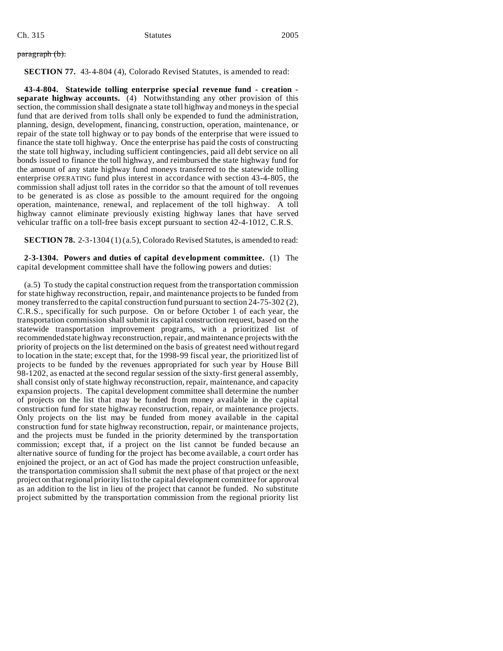paragraph (b).

**SECTION 77.** 43-4-804 (4), Colorado Revised Statutes, is amended to read:

**43-4-804. Statewide tolling enterprise special revenue fund - creation separate highway accounts.** (4) Notwithstanding any other provision of this section, the commission shall designate a state toll highway and moneys in the special fund that are derived from tolls shall only be expended to fund the administration, planning, design, development, financing, construction, operation, maintenance, or repair of the state toll highway or to pay bonds of the enterprise that were issued to finance the state toll highway. Once the enterprise has paid the costs of constructing the state toll highway, including sufficient contingencies, paid all debt service on all bonds issued to finance the toll highway, and reimbursed the state highway fund for the amount of any state highway fund moneys transferred to the statewide tolling enterprise OPERATING fund plus interest in accordance with section 43-4-805, the commission shall adjust toll rates in the corridor so that the amount of toll revenues to be generated is as close as possible to the amount required for the ongoing operation, maintenance, renewal, and replacement of the toll highway. A toll highway cannot eliminate previously existing highway lanes that have served vehicular traffic on a toll-free basis except pursuant to section 42-4-1012, C.R.S.

**SECTION 78.** 2-3-1304 (1) (a.5), Colorado Revised Statutes, is amended to read:

**2-3-1304. Powers and duties of capital development committee.** (1) The capital development committee shall have the following powers and duties:

(a.5) To study the capital construction request from the transportation commission for state highway reconstruction, repair, and maintenance projects to be funded from money transferred to the capital construction fund pursuant to section 24-75-302 (2), C.R.S., specifically for such purpose. On or before October 1 of each year, the transportation commission shall submit its capital construction request, based on the statewide transportation improvement programs, with a prioritized list of recommended state highway reconstruction, repair, and maintenance projects with the priority of projects on the list determined on the basis of greatest need without regard to location in the state; except that, for the 1998-99 fiscal year, the prioritized list of projects to be funded by the revenues appropriated for such year by House Bill 98-1202, as enacted at the second regular session of the sixty-first general assembly, shall consist only of state highway reconstruction, repair, maintenance, and capacity expansion projects. The capital development committee shall determine the number of projects on the list that may be funded from money available in the capital construction fund for state highway reconstruction, repair, or maintenance projects. Only projects on the list may be funded from money available in the capital construction fund for state highway reconstruction, repair, or maintenance projects, and the projects must be funded in the priority determined by the transportation commission; except that, if a project on the list cannot be funded because an alternative source of funding for the project has become available, a court order has enjoined the project, or an act of God has made the project construction unfeasible, the transportation commission shall submit the next phase of that project or the next project on that regional priority list to the capital development committee for approval as an addition to the list in lieu of the project that cannot be funded. No substitute project submitted by the transportation commission from the regional priority list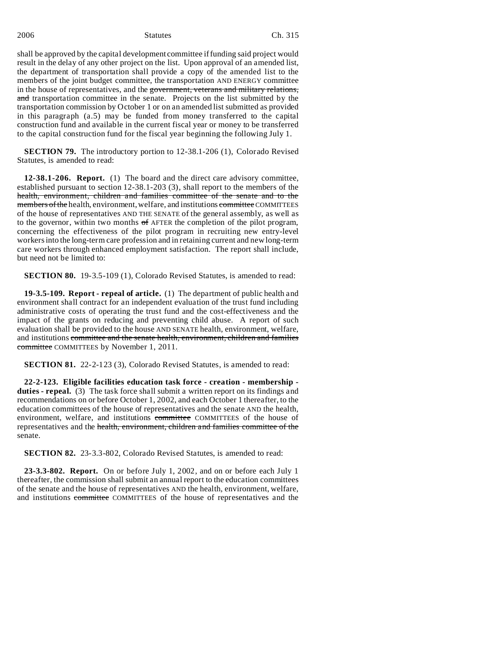2006 Statutes Ch. 315

shall be approved by the capital development committee if funding said project would result in the delay of any other project on the list. Upon approval of an amended list, the department of transportation shall provide a copy of the amended list to the members of the joint budget committee, the transportation AND ENERGY committee in the house of representatives, and the government, veterans and military relations, and transportation committee in the senate. Projects on the list submitted by the transportation commission by October 1 or on an amended list submitted as provided in this paragraph (a.5) may be funded from money transferred to the capital construction fund and available in the current fiscal year or money to be transferred to the capital construction fund for the fiscal year beginning the following July 1.

**SECTION 79.** The introductory portion to 12-38.1-206 (1), Colorado Revised Statutes, is amended to read:

**12-38.1-206. Report.** (1) The board and the direct care advisory committee, established pursuant to section 12-38.1-203 (3), shall report to the members of the health, environment, children and families committee of the senate and to the members of the health, environment, welfare, and institutions committee COMMITTEES of the house of representatives AND THE SENATE of the general assembly, as well as to the governor, within two months of AFTER the completion of the pilot program, concerning the effectiveness of the pilot program in recruiting new entry-level workers into the long-term care profession and in retaining current and new long-term care workers through enhanced employment satisfaction. The report shall include, but need not be limited to:

**SECTION 80.** 19-3.5-109 (1), Colorado Revised Statutes, is amended to read:

**19-3.5-109. Report - repeal of article.** (1) The department of public health and environment shall contract for an independent evaluation of the trust fund including administrative costs of operating the trust fund and the cost-effectiveness and the impact of the grants on reducing and preventing child abuse. A report of such evaluation shall be provided to the house AND SENATE health, environment, welfare, and institutions committee and the senate health, environment, children and families committee COMMITTEES by November 1, 2011.

**SECTION 81.** 22-2-123 (3), Colorado Revised Statutes, is amended to read:

**22-2-123. Eligible facilities education task force - creation - membership duties - repeal.** (3) The task force shall submit a written report on its findings and recommendations on or before October 1, 2002, and each October 1 thereafter, to the education committees of the house of representatives and the senate AND the health, environment, welfare, and institutions committee COMMITTEES of the house of representatives and the health, environment, children and families committee of the senate.

**SECTION 82.** 23-3.3-802, Colorado Revised Statutes, is amended to read:

**23-3.3-802. Report.** On or before July 1, 2002, and on or before each July 1 thereafter, the commission shall submit an annual report to the education committees of the senate and the house of representatives AND the health, environment, welfare, and institutions committee COMMITTEES of the house of representatives and the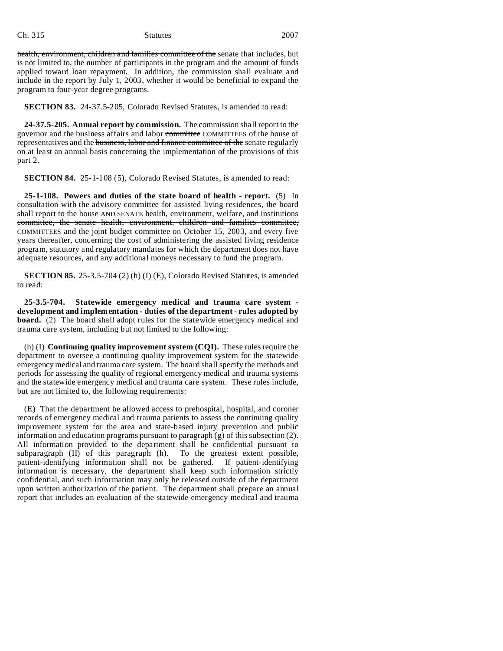#### Ch. 315 Statutes 2007

health, environment, children and families committee of the senate that includes, but is not limited to, the number of participants in the program and the amount of funds applied toward loan repayment. In addition, the commission shall evaluate and include in the report by July 1, 2003, whether it would be beneficial to expand the program to four-year degree programs.

**SECTION 83.** 24-37.5-205, Colorado Revised Statutes, is amended to read:

**24-37.5-205. Annual report by commission.** The commission shall report to the governor and the business affairs and labor committee COMMITTEES of the house of representatives and the business, labor and finance committee of the senate regularly on at least an annual basis concerning the implementation of the provisions of this part 2.

**SECTION 84.** 25-1-108 (5), Colorado Revised Statutes, is amended to read:

**25-1-108. Powers and duties of the state board of health - report.** (5) In consultation with the advisory committee for assisted living residences, the board shall report to the house AND SENATE health, environment, welfare, and institutions committee, the senate health, environment, children and families committee, COMMITTEES and the joint budget committee on October 15, 2003, and every five years thereafter, concerning the cost of administering the assisted living residence program, statutory and regulatory mandates for which the department does not have adequate resources, and any additional moneys necessary to fund the program.

**SECTION 85.** 25-3.5-704 (2) (h) (I) (E), Colorado Revised Statutes, is amended to read:

**25-3.5-704. Statewide emergency medical and trauma care system development and implementation - duties of the department - rules adopted by board.** (2) The board shall adopt rules for the statewide emergency medical and trauma care system, including but not limited to the following:

(h) (I) **Continuing quality improvement system (CQI).** These rules require the department to oversee a continuing quality improvement system for the statewide emergency medical and trauma care system. The board shall specify the methods and periods for assessing the quality of regional emergency medical and trauma systems and the statewide emergency medical and trauma care system. These rules include, but are not limited to, the following requirements:

(E) That the department be allowed access to prehospital, hospital, and coroner records of emergency medical and trauma patients to assess the continuing quality improvement system for the area and state-based injury prevention and public information and education programs pursuant to paragraph  $(g)$  of this subsection (2). All information provided to the department shall be confidential pursuant to subparagraph (II) of this paragraph (h). To the greatest extent possible, patient-identifying information shall not be gathered. If patient-identifying information is necessary, the department shall keep such information strictly confidential, and such information may only be released outside of the department upon written authorization of the patient. The department shall prepare an annual report that includes an evaluation of the statewide emergency medical and trauma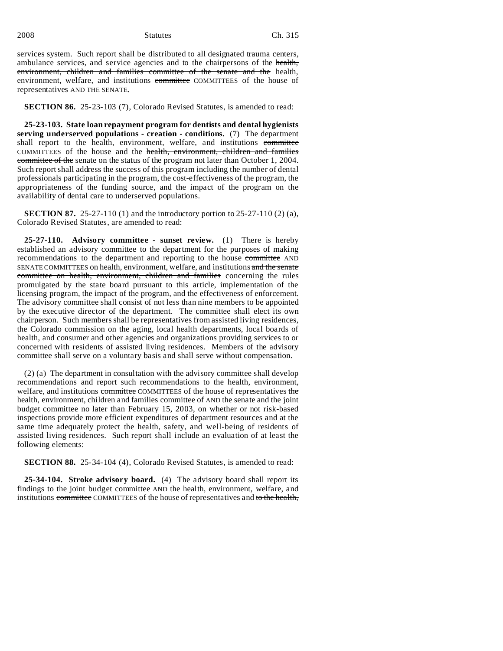2008 Statutes Ch. 315

services system. Such report shall be distributed to all designated trauma centers, ambulance services, and service agencies and to the chairpersons of the health, environment, children and families committee of the senate and the health, environment, welfare, and institutions committee COMMITTEES of the house of representatives AND THE SENATE.

**SECTION 86.** 25-23-103 (7), Colorado Revised Statutes, is amended to read:

**25-23-103. State loan repayment program for dentists and dental hygienists serving underserved populations - creation - conditions.** (7) The department shall report to the health, environment, welfare, and institutions committee COMMITTEES of the house and the health, environment, children and families committee of the senate on the status of the program not later than October 1, 2004. Such report shall address the success of this program including the number of dental professionals participating in the program, the cost-effectiveness of the program, the appropriateness of the funding source, and the impact of the program on the availability of dental care to underserved populations.

**SECTION 87.** 25-27-110 (1) and the introductory portion to 25-27-110 (2) (a), Colorado Revised Statutes, are amended to read:

**25-27-110. Advisory committee - sunset review.** (1) There is hereby established an advisory committee to the department for the purposes of making recommendations to the department and reporting to the house committee AND SENATE COMMITTEES on health, environment, welfare, and institutions and the senate committee on health, environment, children and families concerning the rules promulgated by the state board pursuant to this article, implementation of the licensing program, the impact of the program, and the effectiveness of enforcement. The advisory committee shall consist of not less than nine members to be appointed by the executive director of the department. The committee shall elect its own chairperson. Such members shall be representatives from assisted living residences, the Colorado commission on the aging, local health departments, local boards of health, and consumer and other agencies and organizations providing services to or concerned with residents of assisted living residences. Members of the advisory committee shall serve on a voluntary basis and shall serve without compensation.

(2) (a) The department in consultation with the advisory committee shall develop recommendations and report such recommendations to the health, environment, welfare, and institutions committee COMMITTEES of the house of representatives the health, environment, children and families committee of AND the senate and the joint budget committee no later than February 15, 2003, on whether or not risk-based inspections provide more efficient expenditures of department resources and at the same time adequately protect the health, safety, and well-being of residents of assisted living residences. Such report shall include an evaluation of at least the following elements:

**SECTION 88.** 25-34-104 (4), Colorado Revised Statutes, is amended to read:

**25-34-104. Stroke advisory board.** (4) The advisory board shall report its findings to the joint budget committee AND the health, environment, welfare, and institutions committee COMMITTEES of the house of representatives and to the health,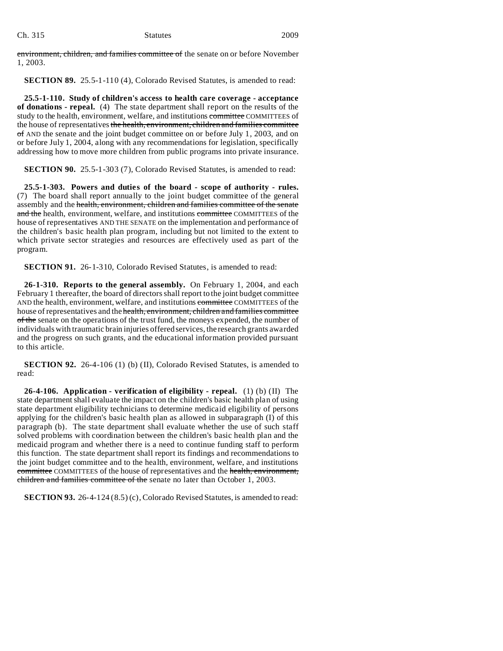environment, children, and families committee of the senate on or before November 1, 2003.

**SECTION 89.** 25.5-1-110 (4), Colorado Revised Statutes, is amended to read:

**25.5-1-110. Study of children's access to health care coverage - acceptance of donations - repeal.** (4) The state department shall report on the results of the study to the health, environment, welfare, and institutions committee COMMITTEES of the house of representatives the health, environment, children and families committee of AND the senate and the joint budget committee on or before July 1, 2003, and on or before July 1, 2004, along with any recommendations for legislation, specifically addressing how to move more children from public programs into private insurance.

**SECTION 90.** 25.5-1-303 (7), Colorado Revised Statutes, is amended to read:

**25.5-1-303. Powers and duties of the board - scope of authority - rules.** (7) The board shall report annually to the joint budget committee of the general assembly and the health, environment, children and families committee of the senate and the health, environment, welfare, and institutions committee COMMITTEES of the house of representatives AND THE SENATE on the implementation and performance of the children's basic health plan program, including but not limited to the extent to which private sector strategies and resources are effectively used as part of the program.

**SECTION 91.** 26-1-310, Colorado Revised Statutes, is amended to read:

**26-1-310. Reports to the general assembly.** On February 1, 2004, and each February 1 thereafter, the board of directors shall report to the joint budget committee AND the health, environment, welfare, and institutions committee COMMITTEES of the house of representatives and the health, environment, children and families committee of the senate on the operations of the trust fund, the moneys expended, the number of individuals with traumatic brain injuries offered services, the research grants awarded and the progress on such grants, and the educational information provided pursuant to this article.

**SECTION 92.** 26-4-106 (1) (b) (II), Colorado Revised Statutes, is amended to read:

**26-4-106. Application - verification of eligibility - repeal.** (1) (b) (II) The state department shall evaluate the impact on the children's basic health plan of using state department eligibility technicians to determine medicaid eligibility of persons applying for the children's basic health plan as allowed in subparagraph (I) of this paragraph (b). The state department shall evaluate whether the use of such staff solved problems with coordination between the children's basic health plan and the medicaid program and whether there is a need to continue funding staff to perform this function. The state department shall report its findings and recommendations to the joint budget committee and to the health, environment, welfare, and institutions committee COMMITTEES of the house of representatives and the health, environment, children and families committee of the senate no later than October 1, 2003.

**SECTION 93.** 26-4-124 (8.5) (c), Colorado Revised Statutes, is amended to read: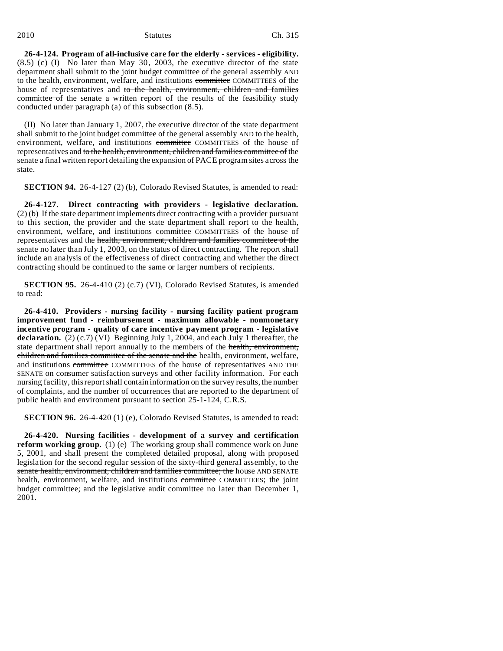**26-4-124. Program of all-inclusive care for the elderly - services - eligibility.** (8.5) (c) (I) No later than May 30, 2003, the executive director of the state department shall submit to the joint budget committee of the general assembly AND to the health, environment, welfare, and institutions committee COMMITTEES of the house of representatives and to the health, environment, children and families committee of the senate a written report of the results of the feasibility study conducted under paragraph (a) of this subsection (8.5).

(II) No later than January 1, 2007, the executive director of the state department shall submit to the joint budget committee of the general assembly AND to the health, environment, welfare, and institutions committee COMMITTEES of the house of representatives and to the health, environment, children and families committee of the senate a final written report detailing the expansion of PACE program sites across the state.

**SECTION 94.** 26-4-127 (2) (b), Colorado Revised Statutes, is amended to read:

**26-4-127. Direct contracting with providers - legislative declaration.** (2) (b) If the state department implements direct contracting with a provider pursuant to this section, the provider and the state department shall report to the health, environment, welfare, and institutions committee COMMITTEES of the house of representatives and the health, environment, children and families committee of the senate no later than July 1, 2003, on the status of direct contracting. The report shall include an analysis of the effectiveness of direct contracting and whether the direct contracting should be continued to the same or larger numbers of recipients.

**SECTION 95.** 26-4-410 (2) (c.7) (VI), Colorado Revised Statutes, is amended to read:

**26-4-410. Providers - nursing facility - nursing facility patient program improvement fund - reimbursement - maximum allowable - nonmonetary incentive program - quality of care incentive payment program - legislative** declaration. (2) (c.7) (VI) Beginning July 1, 2004, and each July 1 thereafter, the state department shall report annually to the members of the health, environment, children and families committee of the senate and the health, environment, welfare, and institutions committee COMMITTEES of the house of representatives AND THE SENATE on consumer satisfaction surveys and other facility information. For each nursing facility, this report shall contain information on the survey results, the number of complaints, and the number of occurrences that are reported to the department of public health and environment pursuant to section 25-1-124, C.R.S.

**SECTION 96.** 26-4-420 (1) (e), Colorado Revised Statutes, is amended to read:

**26-4-420. Nursing facilities - development of a survey and certification reform working group.** (1) (e) The working group shall commence work on June 5, 2001, and shall present the completed detailed proposal, along with proposed legislation for the second regular session of the sixty-third general assembly, to the senate health, environment, children and families committee; the house AND SENATE health, environment, welfare, and institutions committee COMMITTEES; the joint budget committee; and the legislative audit committee no later than December 1, 2001.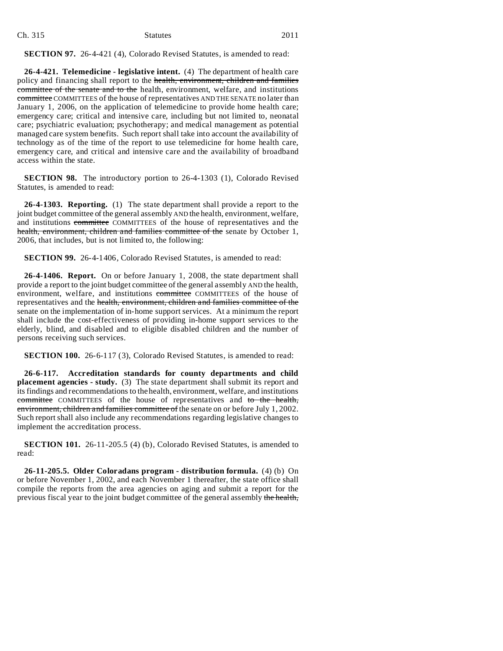| Ch. 315 | <b>Statutes</b> | 2011 |
|---------|-----------------|------|
|         |                 |      |

#### **SECTION 97.** 26-4-421 (4), Colorado Revised Statutes, is amended to read:

**26-4-421. Telemedicine - legislative intent.** (4) The department of health care policy and financing shall report to the health, environment, children and families committee of the senate and to the health, environment, welfare, and institutions committee COMMITTEES of the house of representatives AND THE SENATE no later than January 1, 2006, on the application of telemedicine to provide home health care; emergency care; critical and intensive care, including but not limited to, neonatal care; psychiatric evaluation; psychotherapy; and medical management as potential managed care system benefits. Such report shall take into account the availability of technology as of the time of the report to use telemedicine for home health care, emergency care, and critical and intensive care and the availability of broadband access within the state.

**SECTION 98.** The introductory portion to 26-4-1303 (1), Colorado Revised Statutes, is amended to read:

**26-4-1303. Reporting.** (1) The state department shall provide a report to the joint budget committee of the general assembly AND the health, environment, welfare, and institutions committee COMMITTEES of the house of representatives and the health, environment, children and families committee of the senate by October 1, 2006, that includes, but is not limited to, the following:

**SECTION 99.** 26-4-1406, Colorado Revised Statutes, is amended to read:

**26-4-1406. Report.** On or before January 1, 2008, the state department shall provide a report to the joint budget committee of the general assembly AND the health, environment, welfare, and institutions committee COMMITTEES of the house of representatives and the health, environment, children and families committee of the senate on the implementation of in-home support services. At a minimum the report shall include the cost-effectiveness of providing in-home support services to the elderly, blind, and disabled and to eligible disabled children and the number of persons receiving such services.

**SECTION 100.** 26-6-117 (3), Colorado Revised Statutes, is amended to read:

**26-6-117. Accreditation standards for county departments and child placement agencies - study.** (3) The state department shall submit its report and its findings and recommendations to the health, environment, welfare, and institutions committee COMMITTEES of the house of representatives and to the health, environment, children and families committee of the senate on or before July 1, 2002. Such report shall also include any recommendations regarding legislative changes to implement the accreditation process.

**SECTION 101.** 26-11-205.5 (4) (b), Colorado Revised Statutes, is amended to read:

**26-11-205.5. Older Coloradans program - distribution formula.** (4) (b) On or before November 1, 2002, and each November 1 thereafter, the state office shall compile the reports from the area agencies on aging and submit a report for the previous fiscal year to the joint budget committee of the general assembly the health,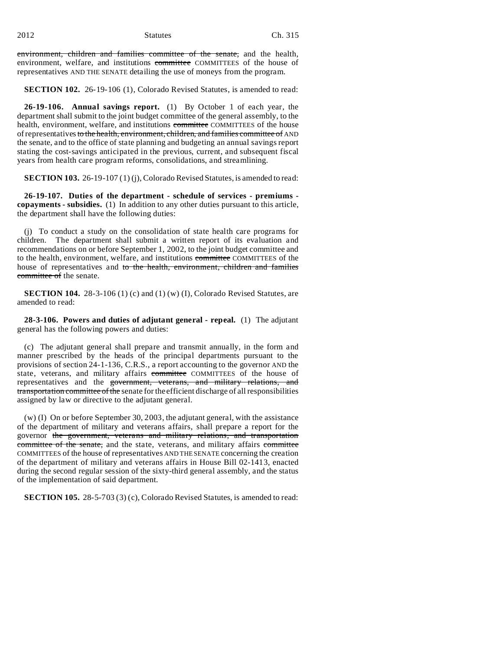environment, children and families committee of the senate, and the health, environment, welfare, and institutions committee COMMITTEES of the house of representatives AND THE SENATE detailing the use of moneys from the program.

**SECTION 102.** 26-19-106 (1), Colorado Revised Statutes, is amended to read:

**26-19-106. Annual savings report.** (1) By October 1 of each year, the department shall submit to the joint budget committee of the general assembly, to the health, environment, welfare, and institutions committee COMMITTEES of the house of representatives to the health, environment, children, and families committee of AND the senate, and to the office of state planning and budgeting an annual savings report stating the cost-savings anticipated in the previous, current, and subsequent fiscal years from health care program reforms, consolidations, and streamlining.

**SECTION 103.** 26-19-107 (1) (j), Colorado Revised Statutes, is amended to read:

**26-19-107. Duties of the department - schedule of services - premiums copayments - subsidies.** (1) In addition to any other duties pursuant to this article, the department shall have the following duties:

(j) To conduct a study on the consolidation of state health care programs for children. The department shall submit a written report of its evaluation and recommendations on or before September 1, 2002, to the joint budget committee and to the health, environment, welfare, and institutions committee COMMITTEES of the house of representatives and to the health, environment, children and families committee of the senate.

**SECTION 104.** 28-3-106 (1) (c) and (1) (w) (I), Colorado Revised Statutes, are amended to read:

**28-3-106. Powers and duties of adjutant general - repeal.** (1) The adjutant general has the following powers and duties:

(c) The adjutant general shall prepare and transmit annually, in the form and manner prescribed by the heads of the principal departments pursuant to the provisions of section 24-1-136, C.R.S., a report accounting to the governor AND the state, veterans, and military affairs committee COMMITTEES of the house of representatives and the government, veterans, and military relations, and transportation committee of the senate for the efficient discharge of all responsibilities assigned by law or directive to the adjutant general.

(w) (I) On or before September 30, 2003, the adjutant general, with the assistance of the department of military and veterans affairs, shall prepare a report for the governor the government, veterans and military relations, and transportation committee of the senate, and the state, veterans, and military affairs committee COMMITTEES of the house of representatives AND THE SENATE concerning the creation of the department of military and veterans affairs in House Bill 02-1413, enacted during the second regular session of the sixty-third general assembly, and the status of the implementation of said department.

**SECTION 105.** 28-5-703 (3) (c), Colorado Revised Statutes, is amended to read: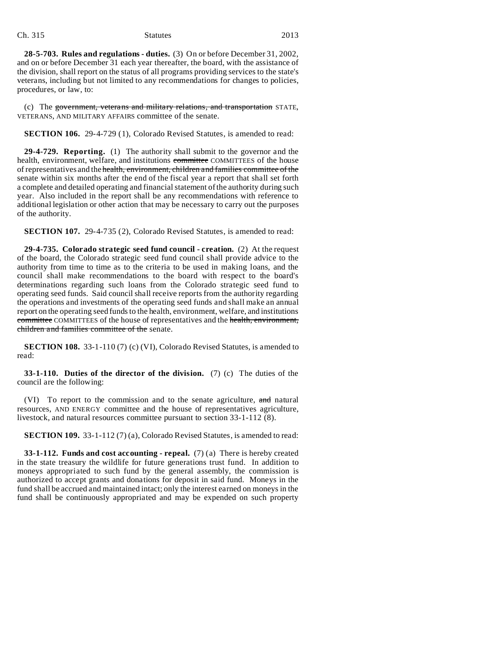#### Ch. 315 Statutes 2013

**28-5-703. Rules and regulations - duties.** (3) On or before December 31, 2002, and on or before December 31 each year thereafter, the board, with the assistance of the division, shall report on the status of all programs providing services to the state's veterans, including but not limited to any recommendations for changes to policies, procedures, or law, to:

(c) The government, veterans and military relations, and transportation STATE, VETERANS, AND MILITARY AFFAIRS committee of the senate.

**SECTION 106.** 29-4-729 (1), Colorado Revised Statutes, is amended to read:

**29-4-729. Reporting.** (1) The authority shall submit to the governor and the health, environment, welfare, and institutions committee COMMITTEES of the house of representatives and the health, environment, children and families committee of the senate within six months after the end of the fiscal year a report that shall set forth a complete and detailed operating and financial statement of the authority during such year. Also included in the report shall be any recommendations with reference to additional legislation or other action that may be necessary to carry out the purposes of the authority.

**SECTION 107.** 29-4-735 (2), Colorado Revised Statutes, is amended to read:

**29-4-735. Colorado strategic seed fund council - creation.** (2) At the request of the board, the Colorado strategic seed fund council shall provide advice to the authority from time to time as to the criteria to be used in making loans, and the council shall make recommendations to the board with respect to the board's determinations regarding such loans from the Colorado strategic seed fund to operating seed funds. Said council shall receive reports from the authority regarding the operations and investments of the operating seed funds and shall make an annual report on the operating seed funds to the health, environment, welfare, and institutions committee COMMITTEES of the house of representatives and the health, environment, children and families committee of the senate.

**SECTION 108.** 33-1-110 (7) (c) (VI), Colorado Revised Statutes, is amended to read:

**33-1-110. Duties of the director of the division.** (7) (c) The duties of the council are the following:

(VI) To report to the commission and to the senate agriculture, and natural resources, AND ENERGY committee and the house of representatives agriculture, livestock, and natural resources committee pursuant to section 33-1-112 (8).

**SECTION 109.** 33-1-112 (7) (a), Colorado Revised Statutes, is amended to read:

**33-1-112. Funds and cost accounting - repeal.** (7) (a) There is hereby created in the state treasury the wildlife for future generations trust fund. In addition to moneys appropriated to such fund by the general assembly, the commission is authorized to accept grants and donations for deposit in said fund. Moneys in the fund shall be accrued and maintained intact; only the interest earned on moneys in the fund shall be continuously appropriated and may be expended on such property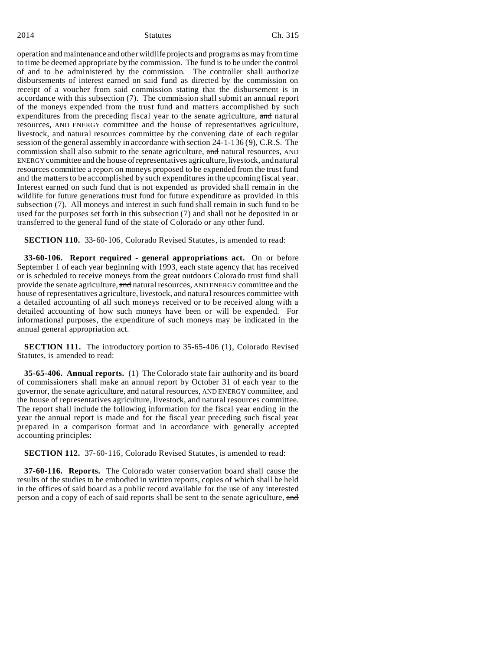operation and maintenance and other wildlife projects and programs as may from time to time be deemed appropriate by the commission. The fund is to be under the control of and to be administered by the commission. The controller shall authorize disbursements of interest earned on said fund as directed by the commission on receipt of a voucher from said commission stating that the disbursement is in accordance with this subsection (7). The commission shall submit an annual report of the moneys expended from the trust fund and matters accomplished by such expenditures from the preceding fiscal year to the senate agriculture, and natural resources, AND ENERGY committee and the house of representatives agriculture, livestock, and natural resources committee by the convening date of each regular session of the general assembly in accordance with section 24-1-136 (9), C.R.S. The commission shall also submit to the senate agriculture, and natural resources, AND ENERGY committee and the house of representatives agriculture, livestock, and natural resources committee a report on moneys proposed to be expended from the trust fund and the matters to be accomplished by such expenditures in the upcoming fiscal year. Interest earned on such fund that is not expended as provided shall remain in the wildlife for future generations trust fund for future expenditure as provided in this subsection (7). All moneys and interest in such fund shall remain in such fund to be used for the purposes set forth in this subsection (7) and shall not be deposited in or transferred to the general fund of the state of Colorado or any other fund.

**SECTION 110.** 33-60-106, Colorado Revised Statutes, is amended to read:

**33-60-106. Report required - general appropriations act.** On or before September 1 of each year beginning with 1993, each state agency that has received or is scheduled to receive moneys from the great outdoors Colorado trust fund shall provide the senate agriculture, and natural resources, AND ENERGY committee and the house of representatives agriculture, livestock, and natural resources committee with a detailed accounting of all such moneys received or to be received along with a detailed accounting of how such moneys have been or will be expended. For informational purposes, the expenditure of such moneys may be indicated in the annual general appropriation act.

**SECTION 111.** The introductory portion to 35-65-406 (1), Colorado Revised Statutes, is amended to read:

**35-65-406. Annual reports.** (1) The Colorado state fair authority and its board of commissioners shall make an annual report by October 31 of each year to the governor, the senate agriculture, and natural resources, AND ENERGY committee, and the house of representatives agriculture, livestock, and natural resources committee. The report shall include the following information for the fiscal year ending in the year the annual report is made and for the fiscal year preceding such fiscal year prepared in a comparison format and in accordance with generally accepted accounting principles:

**SECTION 112.** 37-60-116, Colorado Revised Statutes, is amended to read:

**37-60-116. Reports.** The Colorado water conservation board shall cause the results of the studies to be embodied in written reports, copies of which shall be held in the offices of said board as a public record available for the use of any interested person and a copy of each of said reports shall be sent to the senate agriculture, and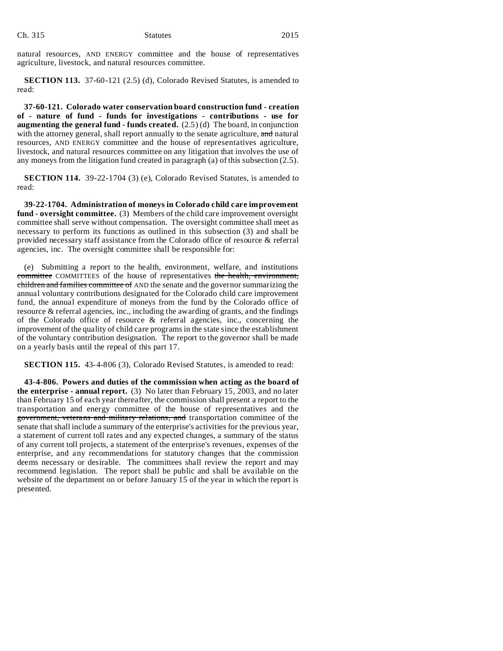natural resources, AND ENERGY committee and the house of representatives agriculture, livestock, and natural resources committee.

**SECTION 113.** 37-60-121 (2.5) (d), Colorado Revised Statutes, is amended to read:

**37-60-121. Colorado water conservation board construction fund - creation of - nature of fund - funds for investigations - contributions - use for augmenting the general fund - funds created.** (2.5) (d) The board, in conjunction with the attorney general, shall report annually to the senate agriculture, and natural resources, AND ENERGY committee and the house of representatives agriculture, livestock, and natural resources committee on any litigation that involves the use of any moneys from the litigation fund created in paragraph (a) of this subsection (2.5).

**SECTION 114.** 39-22-1704 (3) (e), Colorado Revised Statutes, is amended to read:

**39-22-1704. Administration of moneys in Colorado child care improvement fund - oversight committee.** (3) Members of the child care improvement oversight committee shall serve without compensation. The oversight committee shall meet as necessary to perform its functions as outlined in this subsection (3) and shall be provided necessary staff assistance from the Colorado office of resource & referral agencies, inc. The oversight committee shall be responsible for:

(e) Submitting a report to the health, environment, welfare, and institutions committee COMMITTEES of the house of representatives the health, environment, children and families committee of AND the senate and the governor summarizing the annual voluntary contributions designated for the Colorado child care improvement fund, the annual expenditure of moneys from the fund by the Colorado office of resource & referral agencies, inc., including the awarding of grants, and the findings of the Colorado office of resource & referral agencies, inc., concerning the improvement of the quality of child care programs in the state since the establishment of the voluntary contribution designation. The report to the governor shall be made on a yearly basis until the repeal of this part 17.

**SECTION 115.** 43-4-806 (3), Colorado Revised Statutes, is amended to read:

**43-4-806. Powers and duties of the commission when acting as the board of the enterprise - annual report.** (3) No later than February 15, 2003, and no later than February 15 of each year thereafter, the commission shall present a report to the transportation and energy committee of the house of representatives and the government, veterans and military relations, and transportation committee of the senate that shall include a summary of the enterprise's activities for the previous year, a statement of current toll rates and any expected changes, a summary of the status of any current toll projects, a statement of the enterprise's revenues, expenses of the enterprise, and any recommendations for statutory changes that the commission deems necessary or desirable. The committees shall review the report and may recommend legislation. The report shall be public and shall be available on the website of the department on or before January 15 of the year in which the report is presented.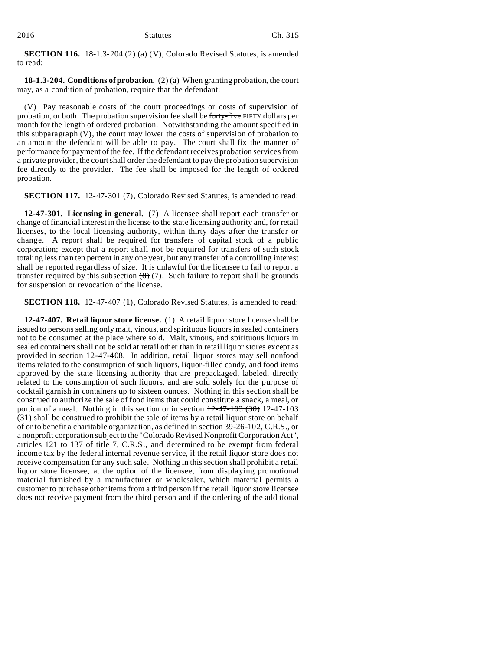**SECTION 116.** 18-1.3-204 (2) (a) (V), Colorado Revised Statutes, is amended to read:

**18-1.3-204. Conditions of probation.** (2) (a) When granting probation, the court may, as a condition of probation, require that the defendant:

(V) Pay reasonable costs of the court proceedings or costs of supervision of probation, or both. The probation supervision fee shall be forty-five FIFTY dollars per month for the length of ordered probation. Notwithstanding the amount specified in this subparagraph (V), the court may lower the costs of supervision of probation to an amount the defendant will be able to pay. The court shall fix the manner of performance for payment of the fee. If the defendant receives probation services from a private provider, the court shall order the defendant to pay the probation supervision fee directly to the provider. The fee shall be imposed for the length of ordered probation.

**SECTION 117.** 12-47-301 (7), Colorado Revised Statutes, is amended to read:

**12-47-301. Licensing in general.** (7) A licensee shall report each transfer or change of financial interest in the license to the state licensing authority and, for retail licenses, to the local licensing authority, within thirty days after the transfer or change. A report shall be required for transfers of capital stock of a public corporation; except that a report shall not be required for transfers of such stock totaling less than ten percent in any one year, but any transfer of a controlling interest shall be reported regardless of size. It is unlawful for the licensee to fail to report a transfer required by this subsection  $(8)$  (7). Such failure to report shall be grounds for suspension or revocation of the license.

**SECTION 118.** 12-47-407 (1), Colorado Revised Statutes, is amended to read:

**12-47-407. Retail liquor store license.** (1) A retail liquor store license shall be issued to persons selling only malt, vinous, and spirituous liquors in sealed containers not to be consumed at the place where sold. Malt, vinous, and spirituous liquors in sealed containers shall not be sold at retail other than in retail liquor stores except as provided in section 12-47-408. In addition, retail liquor stores may sell nonfood items related to the consumption of such liquors, liquor-filled candy, and food items approved by the state licensing authority that are prepackaged, labeled, directly related to the consumption of such liquors, and are sold solely for the purpose of cocktail garnish in containers up to sixteen ounces. Nothing in this section shall be construed to authorize the sale of food items that could constitute a snack, a meal, or portion of a meal. Nothing in this section or in section  $12-47-103$  (30) 12-47-103 (31) shall be construed to prohibit the sale of items by a retail liquor store on behalf of or to benefit a charitable organization, as defined in section 39-26-102, C.R.S., or a nonprofit corporation subject to the "Colorado Revised Nonprofit Corporation Act", articles 121 to 137 of title 7, C.R.S., and determined to be exempt from federal income tax by the federal internal revenue service, if the retail liquor store does not receive compensation for any such sale. Nothing in this section shall prohibit a retail liquor store licensee, at the option of the licensee, from displaying promotional material furnished by a manufacturer or wholesaler, which material permits a customer to purchase other items from a third person if the retail liquor store licensee does not receive payment from the third person and if the ordering of the additional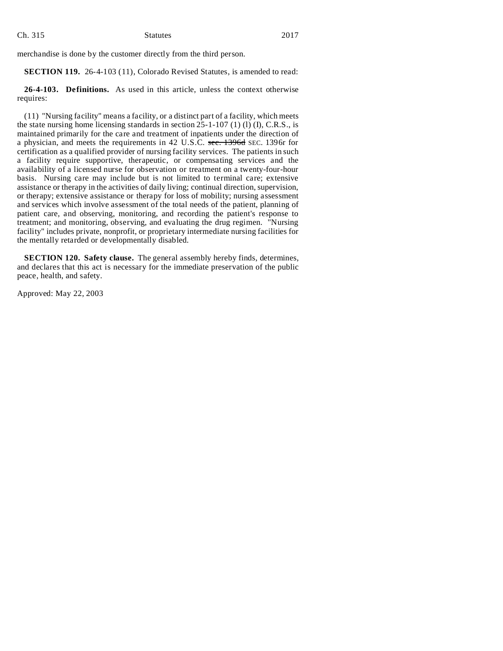merchandise is done by the customer directly from the third person.

**SECTION 119.** 26-4-103 (11), Colorado Revised Statutes, is amended to read:

**26-4-103. Definitions.** As used in this article, unless the context otherwise requires:

(11) "Nursing facility" means a facility, or a distinct part of a facility, which meets the state nursing home licensing standards in section  $25-1-107$  (1) (1) (I), C.R.S., is maintained primarily for the care and treatment of inpatients under the direction of a physician, and meets the requirements in 42 U.S.C. sec. 1396d SEC. 1396r for certification as a qualified provider of nursing facility services. The patients in such a facility require supportive, therapeutic, or compensating services and the availability of a licensed nurse for observation or treatment on a twenty-four-hour basis. Nursing care may include but is not limited to terminal care; extensive assistance or therapy in the activities of daily living; continual direction, supervision, or therapy; extensive assistance or therapy for loss of mobility; nursing assessment and services which involve assessment of the total needs of the patient, planning of patient care, and observing, monitoring, and recording the patient's response to treatment; and monitoring, observing, and evaluating the drug regimen. "Nursing facility" includes private, nonprofit, or proprietary intermediate nursing facilities for the mentally retarded or developmentally disabled.

**SECTION 120. Safety clause.** The general assembly hereby finds, determines, and declares that this act is necessary for the immediate preservation of the public peace, health, and safety.

Approved: May 22, 2003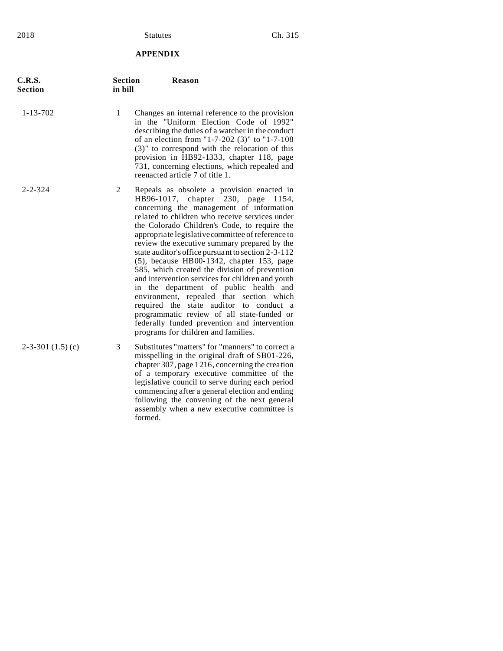# **APPENDIX**

| C.R.S.<br><b>Section</b> | <b>Section</b><br>in bill | <b>Reason</b>                                                                                                                                                                                                                                                                                                                                                                                                                                                                                                                                                                                                                                                                                                                                                                                                              |
|--------------------------|---------------------------|----------------------------------------------------------------------------------------------------------------------------------------------------------------------------------------------------------------------------------------------------------------------------------------------------------------------------------------------------------------------------------------------------------------------------------------------------------------------------------------------------------------------------------------------------------------------------------------------------------------------------------------------------------------------------------------------------------------------------------------------------------------------------------------------------------------------------|
| $1 - 13 - 702$           | 1                         | Changes an internal reference to the provision<br>in the "Uniform Election Code of 1992"<br>describing the duties of a watcher in the conduct<br>of an election from "1-7-202 (3)" to "1-7-108<br>$(3)$ " to correspond with the relocation of this<br>provision in HB92-1333, chapter 118, page<br>731, concerning elections, which repealed and<br>reenacted article 7 of title 1.                                                                                                                                                                                                                                                                                                                                                                                                                                       |
| $2 - 2 - 324$            | $\overline{2}$            | Repeals as obsolete a provision enacted in<br>HB96-1017, chapter 230, page<br>1154,<br>concerning the management of information<br>related to children who receive services under<br>the Colorado Children's Code, to require the<br>appropriate legislative committee of reference to<br>review the executive summary prepared by the<br>state auditor's office pursuant to section 2-3-112<br>(5), because HB00-1342, chapter 153, page<br>585, which created the division of prevention<br>and intervention services for children and youth<br>department of public health and<br>the<br>in<br>environment, repealed that section which<br>required the state auditor to conduct a<br>programmatic review of all state-funded or<br>federally funded prevention and intervention<br>programs for children and families. |
| $2-3-301(1.5)(c)$        | 3                         | Substitutes "matters" for "manners" to correct a<br>misspelling in the original draft of SB01-226,<br>chapter 307, page 1216, concerning the creation<br>of a temporary executive committee of the<br>legislative council to serve during each period<br>commencing after a general election and ending<br>following the convening of the next general<br>assembly when a new executive committee is<br>formed.                                                                                                                                                                                                                                                                                                                                                                                                            |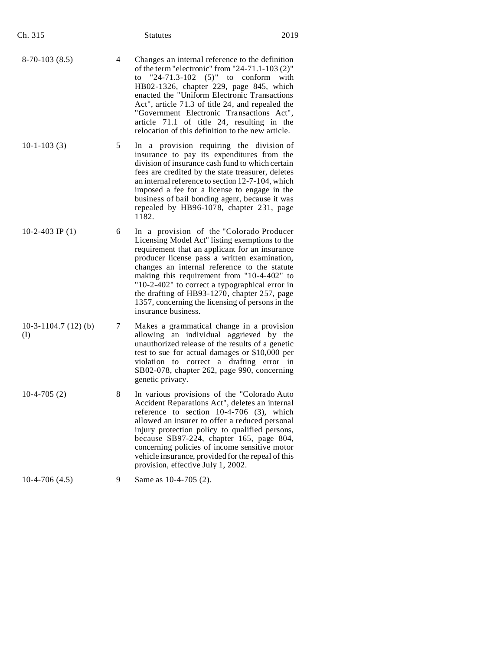| Ch. 315                         |   | <b>Statutes</b>                                                                                                                                                                                                                                                                                                                                                                                                                                                         | 2019 |
|---------------------------------|---|-------------------------------------------------------------------------------------------------------------------------------------------------------------------------------------------------------------------------------------------------------------------------------------------------------------------------------------------------------------------------------------------------------------------------------------------------------------------------|------|
| $8-70-103(8.5)$                 | 4 | Changes an internal reference to the definition<br>of the term "electronic" from "24-71.1-103 (2)"<br>"24-71.3-102 $(5)$ " to conform<br>to<br>HB02-1326, chapter 229, page 845, which<br>enacted the "Uniform Electronic Transactions"<br>Act", article 71.3 of title 24, and repealed the<br>"Government Electronic Transactions Act",<br>article 71.1 of title 24, resulting in the<br>relocation of this definition to the new article.                             | with |
| $10-1-103(3)$                   | 5 | In a provision requiring the division of<br>insurance to pay its expenditures from the<br>division of insurance cash fund to which certain<br>fees are credited by the state treasurer, deletes<br>an internal reference to section 12-7-104, which<br>imposed a fee for a license to engage in the<br>business of bail bonding agent, because it was<br>repealed by HB96-1078, chapter 231, page<br>1182.                                                              |      |
| 10-2-403 IP $(1)$               | 6 | In a provision of the "Colorado Producer<br>Licensing Model Act" listing exemptions to the<br>requirement that an applicant for an insurance<br>producer license pass a written examination,<br>changes an internal reference to the statute<br>making this requirement from "10-4-402" to<br>"10-2-402" to correct a typographical error in<br>the drafting of HB93-1270, chapter 257, page<br>1357, concerning the licensing of persons in the<br>insurance business. |      |
| 10-3-1104.7 $(12)$ $(b)$<br>(I) | 7 | Makes a grammatical change in a provision<br>allowing an individual aggrieved by the<br>unauthorized release of the results of a genetic<br>test to sue for actual damages or \$10,000 per<br>violation to correct a drafting error in<br>SB02-078, chapter 262, page 990, concerning<br>genetic privacy.                                                                                                                                                               |      |
| $10-4-705(2)$                   | 8 | In various provisions of the "Colorado Auto<br>Accident Reparations Act", deletes an internal<br>reference to section $10-4-706$ (3), which<br>allowed an insurer to offer a reduced personal<br>injury protection policy to qualified persons,<br>because SB97-224, chapter 165, page 804,<br>concerning policies of income sensitive motor<br>vehicle insurance, provided for the repeal of this<br>provision, effective July 1, 2002.                                |      |
| $10-4-706(4.5)$                 | 9 | Same as 10-4-705 (2).                                                                                                                                                                                                                                                                                                                                                                                                                                                   |      |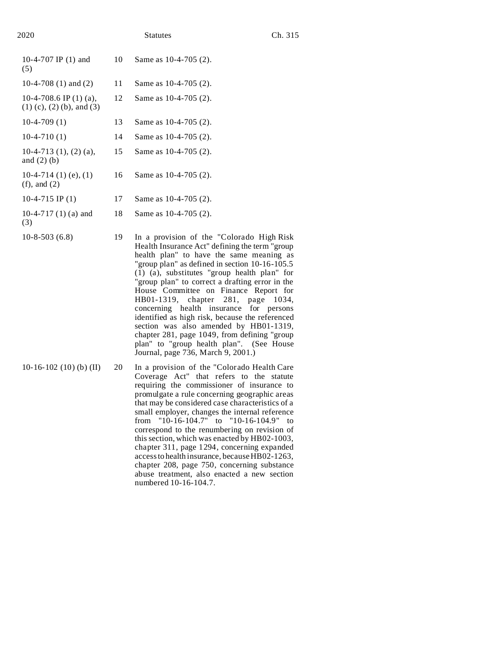| 2020                                                       |    | Ch. 315<br><b>Statutes</b>                                                                    |  |
|------------------------------------------------------------|----|-----------------------------------------------------------------------------------------------|--|
| 10-4-707 IP (1) and<br>(5)                                 | 10 | Same as 10-4-705 (2).                                                                         |  |
| 10-4-708 $(1)$ and $(2)$                                   | 11 | Same as 10-4-705 (2).                                                                         |  |
| 10-4-708.6 IP $(1)$ $(a)$ ,<br>$(1)$ (c), (2) (b), and (3) | 12 | Same as $10-4-705(2)$ .                                                                       |  |
| $10-4-709(1)$                                              | 13 | Same as 10-4-705 (2).                                                                         |  |
| $10-4-710(1)$                                              | 14 | Same as 10-4-705 (2).                                                                         |  |
| 10-4-713 (1), (2) (a),<br>and $(2)$ (b)                    | 15 | Same as $10-4-705(2)$ .                                                                       |  |
| 10-4-714 (1) (e), (1)<br>$(f)$ , and $(2)$                 | 16 | Same as 10-4-705 (2).                                                                         |  |
| 10-4-715 IP $(1)$                                          | 17 | Same as 10-4-705 (2).                                                                         |  |
| 10-4-717 $(1)$ (a) and<br>(3)                              | 18 | Same as 10-4-705 (2).                                                                         |  |
| $10-8-503(6.8)$                                            | 19 | In a provision of the "Colorado High Risk"<br>Health Insurance Act" defining the term "group" |  |

- do High Risk Health Insurance Act" defining the term "group health plan" to have the same meaning as "group plan" as defined in section 10-16-105.5 (1) (a), substitutes "group health plan" for "group plan" to correct a drafting error in the House Committee on Finance Report for HB01-1319, chapter 281, page 1034, concerning health insurance for persons identified as high risk, because the referenced section was also amended by HB01-1319, chapter 281, page 1049, from defining "group plan" to "group health plan". (See House Journal, page 736, March 9, 2001.)
- 10-16-102 (10) (b) (II) 20 In a provision of the "Colorado Health Care Coverage Act" that refers to the statute requiring the commissioner of insurance to promulgate a rule concerning geographic areas that may be considered case characteristics of a small employer, changes the internal reference from "10-16-104.7" to "10-16-104.9" to correspond to the renumbering on revision of this section, which was enacted by HB02-1003, chapter 311, page 1294, concerning expanded access to health insurance, because HB02-1263, chapter 208, page 750, concerning substance abuse treatment, also enacted a new section numbered 10-16-104.7.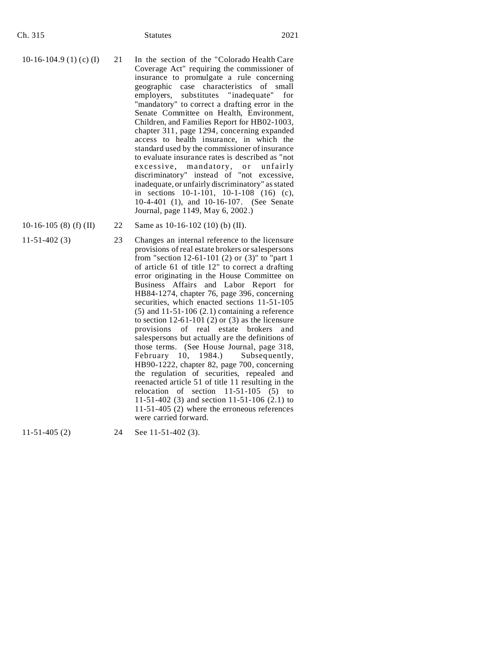- 10-16-104.9 (1) (c) (I) 21 In the section of the "Colorado Health Care Coverage Act" requiring the commissioner of insurance to promulgate a rule concerning geographic case characteristics of small employers, substitutes "inadequate" for "mandatory" to correct a drafting error in the Senate Committee on Health, Environment, Children, and Families Report for HB02-1003, chapter 311, page 1294, concerning expanded access to health insurance, in which the standard used by the commissioner of insurance to evaluate insurance rates is described as "not excessive, mandatory, or unfairly discriminatory" instead of "not excessive, inadequate, or unfairly discriminatory" as stated in sections 10-1-101, 10-1-108 (16) (c), 10-4-401 (1), and 10-16-107. (See Senate Journal, page 1149, May 6, 2002.)
- 
- 
- 10-16-105 (8) (f) (II) 22 Same as 10-16-102 (10) (b) (II).
- 11-51-402 (3) 23 Changes an internal reference to the licensure provisions of real estate brokers or salespersons from "section 12-61-101 (2) or (3)" to "part 1 of article 61 of title 12" to correct a drafting error originating in the House Committee on Business Affairs and Labor Report for HB84-1274, chapter 76, page 396, concerning securities, which enacted sections 11-51-105  $(5)$  and  $11-51-106$   $(2.1)$  containing a reference to section  $12-61-101$  (2) or (3) as the licensure provisions of real estate brokers and salespersons but actually are the definitions of those terms. (See House Journal, page 318, February 10, 1984.) Subsequently, HB90-1222, chapter 82, page 700, concerning the regulation of securities, repealed and reenacted article 51 of title 11 resulting in the relocation of section  $11-51-105$  (5) to 11-51-402 (3) and section 11-51-106 (2.1) to 11-51-405 (2) where the erroneous references were carried forward.

11-51-405 (2) 24 See 11-51-402 (3).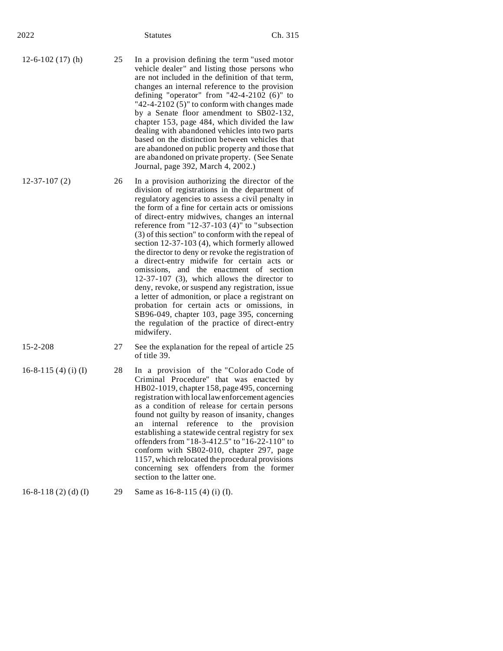| 2022                       |    | <b>Statutes</b>                                                                                                                                                                                                                                                                                                                                                                                                                                                                                                                                                                                                                                                                                                                                                                                                                                                                            | Ch. 315          |
|----------------------------|----|--------------------------------------------------------------------------------------------------------------------------------------------------------------------------------------------------------------------------------------------------------------------------------------------------------------------------------------------------------------------------------------------------------------------------------------------------------------------------------------------------------------------------------------------------------------------------------------------------------------------------------------------------------------------------------------------------------------------------------------------------------------------------------------------------------------------------------------------------------------------------------------------|------------------|
| $12-6-102(17)$ (h)         | 25 | In a provision defining the term "used motor<br>vehicle dealer" and listing those persons who<br>are not included in the definition of that term,<br>changes an internal reference to the provision<br>defining "operator" from "42-4-2102 $(6)$ " to<br>"42-4-2102 $(5)$ " to conform with changes made<br>by a Senate floor amendment to SB02-132,<br>chapter 153, page 484, which divided the law<br>dealing with abandoned vehicles into two parts<br>based on the distinction between vehicles that<br>are abandoned on public property and those that<br>are abandoned on private property. (See Senate<br>Journal, page 392, March 4, 2002.)                                                                                                                                                                                                                                        |                  |
| $12-37-107(2)$             | 26 | In a provision authorizing the director of the<br>division of registrations in the department of<br>regulatory agencies to assess a civil penalty in<br>the form of a fine for certain acts or omissions<br>of direct-entry midwives, changes an internal<br>reference from "12-37-103 $(4)$ " to "subsection<br>(3) of this section" to conform with the repeal of<br>section 12-37-103 (4), which formerly allowed<br>the director to deny or revoke the registration of<br>a direct-entry midwife for certain acts or<br>omissions, and the enactment of section<br>$12-37-107$ (3), which allows the director to<br>deny, revoke, or suspend any registration, issue<br>a letter of admonition, or place a registrant on<br>probation for certain acts or omissions, in<br>SB96-049, chapter 103, page 395, concerning<br>the regulation of the practice of direct-entry<br>midwifery. |                  |
| $15 - 2 - 208$             | 27 | See the explanation for the repeal of article 25<br>of title 39.                                                                                                                                                                                                                                                                                                                                                                                                                                                                                                                                                                                                                                                                                                                                                                                                                           |                  |
| 16-8-115 (4) (i) (I)       | 28 | In a provision of the "Colorado Code of<br>Criminal Procedure" that was enacted by<br>HB02-1019, chapter 158, page 495, concerning<br>registration with local law enforcement agencies<br>as a condition of release for certain persons<br>found not guilty by reason of insanity, changes<br>internal reference<br>an<br>establishing a statewide central registry for sex<br>offenders from "18-3-412.5" to "16-22-110" to<br>conform with SB02-010, chapter 297, page<br>1157, which relocated the procedural provisions<br>concerning sex offenders from the former<br>section to the latter one.                                                                                                                                                                                                                                                                                      | to the provision |
| 16-8-118 $(2)$ $(d)$ $(I)$ | 29 | Same as 16-8-115 (4) (i) (I).                                                                                                                                                                                                                                                                                                                                                                                                                                                                                                                                                                                                                                                                                                                                                                                                                                                              |                  |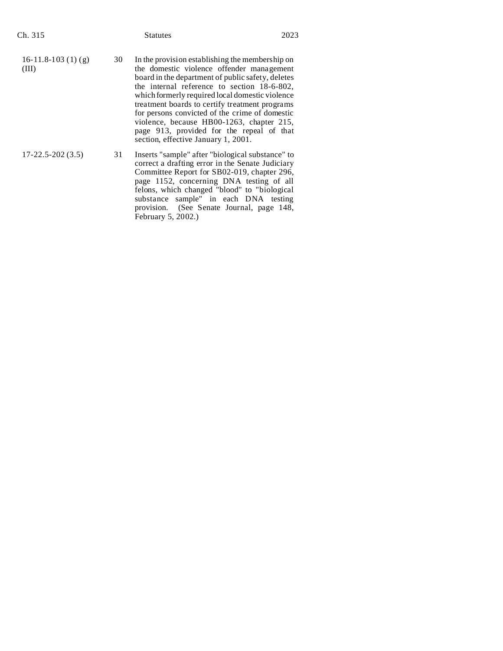| Ch. 315                      |    | <b>Statutes</b>                                                                                                                                                                                                                                                                                                                                                                                                                                                                          | 2023 |
|------------------------------|----|------------------------------------------------------------------------------------------------------------------------------------------------------------------------------------------------------------------------------------------------------------------------------------------------------------------------------------------------------------------------------------------------------------------------------------------------------------------------------------------|------|
| 16-11.8-103 (1) (g)<br>(III) | 30 | In the provision establishing the membership on<br>the domestic violence offender management<br>board in the department of public safety, deletes<br>the internal reference to section 18-6-802,<br>which formerly required local domestic violence<br>treatment boards to certify treatment programs<br>for persons convicted of the crime of domestic<br>violence, because HB00-1263, chapter 215,<br>page 913, provided for the repeal of that<br>section, effective January 1, 2001. |      |
| $17 - 22.5 - 202(3.5)$       | 31 | Inserts "sample" after "biological substance" to<br>correct a drafting error in the Senate Judiciary<br>Committee Report for SB02-019, chapter 296,<br>page 1152, concerning DNA testing of all<br>felons, which changed "blood" to "biological<br>substance sample" in each DNA testing<br>provision. (See Senate Journal, page 148,<br>February 5, 2002.)                                                                                                                              |      |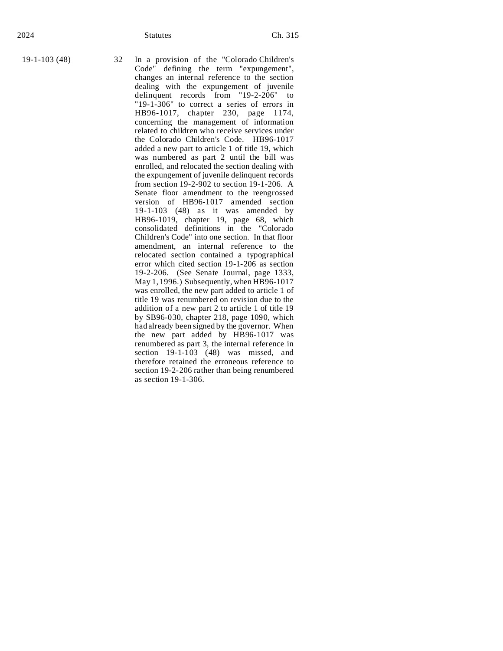19-1-103 (48) 32 In a provision of the "Colorado Children's Code" defining the term "expungement", changes an internal reference to the section dealing with the expungement of juvenile delinquent records from "19-2-206" to "19-1-306" to correct a series of errors in HB96-1017, chapter 230, page 1174, concerning the management of information related to children who receive services under the Colorado Children's Code. HB96-1017 added a new part to article 1 of title 19, which was numbered as part 2 until the bill was enrolled, and relocated the section dealing with the expungement of juvenile delinquent records from section 19-2-902 to section 19-1-206. A Senate floor amendment to the reengrossed version of HB96-1017 amended section 19-1-103 (48) as it was amended by HB96-1019, chapter 19, page 68, which consolidated definitions in the "Colorado Children's Code" into one section. In that floor amendment, an internal reference to the relocated section contained a typographical error which cited section 19-1-206 as section 19-2-206. (See Senate Journal, page 1333, May 1, 1996.) Subsequently, when  $\hat{H}B96-1017$ was enrolled, the new part added to article 1 of title 19 was renumbered on revision due to the addition of a new part 2 to article 1 of title 19 by SB96-030, chapter 218, page 1090, which had already been signed by the governor. When the new part added by HB96-1017 was renumbered as part 3, the internal reference in section  $19-1-103$  (48) was missed, and therefore retained the erroneous reference to section 19-2-206 rather than being renumbered as section 19-1-306.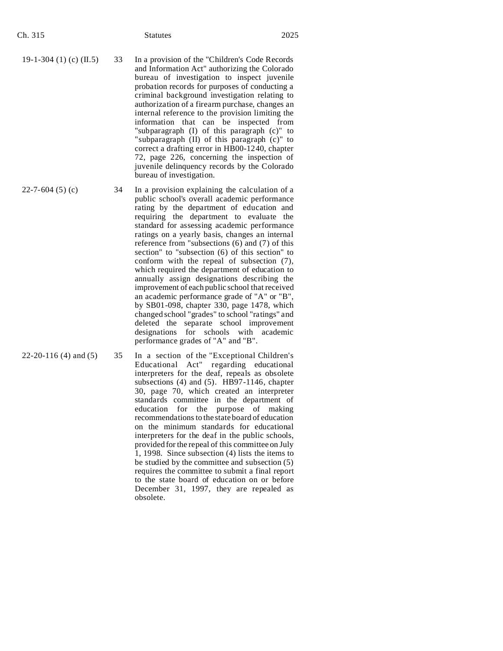| $\cdot$ n. | l |  |
|------------|---|--|
|            |   |  |

- 19-1-304 (1) (c)  $(II.5)$  33 In a provision of the "Children's Code Records" and Information Act" authorizing the Colorado bureau of investigation to inspect juvenile probation records for purposes of conducting a criminal background investigation relating to authorization of a firearm purchase, changes an internal reference to the provision limiting the information that can be inspected from "subparagraph (I) of this paragraph (c)" to "subparagraph (II) of this paragraph (c)" to correct a drafting error in HB00-1240, chapter 72, page 226, concerning the inspection of juvenile delinquency records by the Colorado bureau of investigation.
	- public school's overall academic performance rating by the department of education and requiring the department to evaluate the standard for assessing academic performance ratings on a yearly basis, changes an internal reference from "subsections (6) and (7) of this section" to "subsection (6) of this section" to conform with the repeal of subsection (7), which required the department of education to annually assign designations describing the improvement of each public school that received an academic performance grade of "A" or "B", by SB01-098, chapter 330, page 1478, which changed school "grades" to school "ratings" and deleted the separate school improvement

designations for schools with academic

performance grades of "A" and "B".

22-20-116 (4) and (5) 35 In a section of the "Exceptional Children's Educational Act" regarding educational interpreters for the deaf, repeals as obsolete subsections (4) and (5). HB97-1146, chapter 30, page 70, which created an interpreter standards committee in the department of education for the purpose of making recommendations to the state board of education on the minimum standards for educational interpreters for the deaf in the public schools, provided for the repeal of this committee on July 1, 1998. Since subsection (4) lists the items to be studied by the committee and subsection (5) requires the committee to submit a final report to the state board of education on or before December 31, 1997, they are repealed as obsolete.

 $22-7-604$  (5) (c)  $34$  In a provision explaining the calculation of a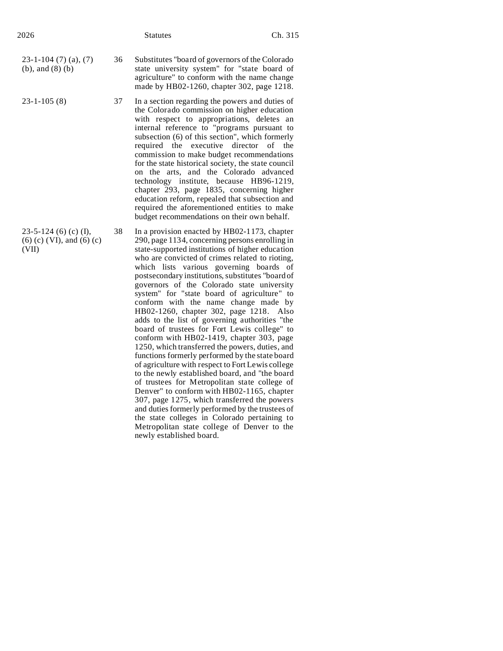| 2026                                                          |    | <b>Statutes</b>                                                                                                                                                                                                                                                                                                                                                                                                                                                                                                                                                                                                                                                           | Ch. 315   |
|---------------------------------------------------------------|----|---------------------------------------------------------------------------------------------------------------------------------------------------------------------------------------------------------------------------------------------------------------------------------------------------------------------------------------------------------------------------------------------------------------------------------------------------------------------------------------------------------------------------------------------------------------------------------------------------------------------------------------------------------------------------|-----------|
| $23-1-104(7)(a), (7)$<br>$(b)$ , and $(8)$ $(b)$              | 36 | Substitutes "board of governors of the Colorado"<br>state university system" for "state board of<br>agriculture" to conform with the name change<br>made by HB02-1260, chapter 302, page 1218.                                                                                                                                                                                                                                                                                                                                                                                                                                                                            |           |
| $23 - 1 - 105(8)$                                             | 37 | In a section regarding the powers and duties of<br>the Colorado commission on higher education<br>with respect to appropriations, deletes an<br>internal reference to "programs pursuant to<br>subsection (6) of this section", which formerly<br>required the executive director<br>commission to make budget recommendations<br>for the state historical society, the state council<br>on the arts, and the Colorado advanced<br>technology institute, because HB96-1219,<br>chapter 293, page 1835, concerning higher<br>education reform, repealed that subsection and<br>required the aforementioned entities to make<br>budget recommendations on their own behalf. | of<br>the |
| 23-5-124 (6) (c) (I),<br>$(6)$ (c) (VI), and (6) (c)<br>(VII) | 38 | In a provision enacted by HB02-1173, chapter<br>290, page 1134, concerning persons enrolling in<br>state-supported institutions of higher education<br>who are convicted of crimes related to rioting,<br>which lists various governing boards of<br>postsecondary institutions, substitutes "board of<br>governors of the Colorado state university<br>system" for "state board of agriculture" to<br>conform with the name change made by<br>HB02-1260, chapter 302, page 1218. Also<br>adds to the list of governing authorities "the<br>board of trustees for Fort Lewis college" to                                                                                  |           |

conform with HB02-1419, chapter 303, page 1250, which transferred the powers, duties, and functions formerly performed by the state board of agriculture with respect to Fort Lewis college to the newly established board, and "the board of trustees for Metropolitan state college of Denver" to conform with HB02-1165, chapter 307, page 1275, which transferred the powers and duties formerly performed by the trustees of the state colleges in Colorado pertaining to Metropolitan state college of Denver to the

newly established board.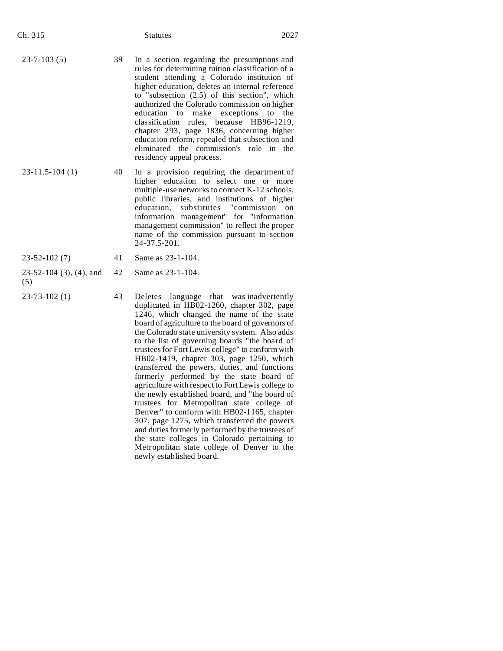| Ch. 315                          |    | <b>Statutes</b>                                                                                                                                                                                                                                                                                                                                                                                                                                                                                                                                              | 2027       |
|----------------------------------|----|--------------------------------------------------------------------------------------------------------------------------------------------------------------------------------------------------------------------------------------------------------------------------------------------------------------------------------------------------------------------------------------------------------------------------------------------------------------------------------------------------------------------------------------------------------------|------------|
| $23 - 7 - 103(5)$                | 39 | In a section regarding the presumptions and<br>rules for determining tuition classification of a<br>student attending a Colorado institution of<br>higher education, deletes an internal reference<br>to "subsection $(2.5)$ of this section", which<br>authorized the Colorado commission on higher<br>make exceptions to<br>education to<br>classification rules, because<br>HB96-1219,<br>chapter 293, page 1836, concerning higher<br>education reform, repealed that subsection and<br>eliminated the commission's role in<br>residency appeal process. | the<br>the |
| $23-11.5-104(1)$                 | 40 | In a provision requiring the department of<br>higher education to select one or<br>multiple-use networks to connect K-12 schools,<br>public libraries, and institutions of higher<br>substitutes<br>education.<br>"commission"<br>information management" for "information<br>management commission" to reflect the proper<br>name of the commission pursuant to section<br>24-37.5-201.                                                                                                                                                                     | more<br>on |
| $23 - 52 - 102(7)$               | 41 | Same as 23-1-104.                                                                                                                                                                                                                                                                                                                                                                                                                                                                                                                                            |            |
| $23-52-104$ (3), (4), and<br>(5) | 42 | Same as 23-1-104.                                                                                                                                                                                                                                                                                                                                                                                                                                                                                                                                            |            |
| $23 - 73 - 102(1)$               | 43 | Deletes language that was inadvertently<br>duplicated in HB02-1260, chapter 302, page<br>1246, which changed the name of the state<br>board of agriculture to the board of governors of<br>the Colorado state university system. Also adds<br>to the list of governing boards "the board of                                                                                                                                                                                                                                                                  |            |

trustees for Fort Lewis college" to conform with HB02-1419, chapter 303, page 1250, which transferred the powers, duties, and functions formerly performed by the state board of agriculture with respect to Fort Lewis college to the newly established board, and "the board of trustees for Metropolitan state college of Denver" to conform with HB02-1165, chapter 307, page 1275, which transferred the powers and duties formerly performed by the trustees of the state colleges in Colorado pertaining to Metropolitan state college of Denver to the

newly established board.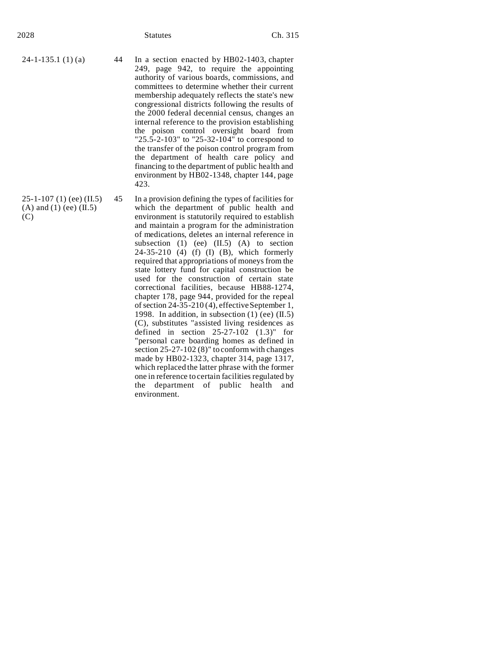(C)

- $24-1-135.1$  (1) (a) 44 In a section enacted by HB02-1403, chapter 249, page 942, to require the appointing authority of various boards, commissions, and committees to determine whether their current membership adequately reflects the state's new congressional districts following the results of the 2000 federal decennial census, changes an internal reference to the provision establishing the poison control oversight board from "25.5-2-103" to "25-32-104" to correspond to the transfer of the poison control program from the department of health care policy and financing to the department of public health and environment by HB02-1348, chapter 144, page 423.
- 25-1-107 (1) (ee) (II.5)  $(A)$  and  $(1)$  (ee)  $(II.5)$ 45 In a provision defining the types of facilities for which the department of public health and environment is statutorily required to establish and maintain a program for the administration of medications, deletes an internal reference in subsection  $(1)$  (ee)  $(II.5)$   $(A)$  to section 24-35-210 (4) (f) (I) (B), which formerly required that appropriations of moneys from the state lottery fund for capital construction be used for the construction of certain state correctional facilities, because HB88-1274, chapter 178, page 944, provided for the repeal of section 24-35-210 (4), effective September 1, 1998. In addition, in subsection  $(1)$  (ee)  $(II.5)$ (C), substitutes "assisted living residences as defined in section  $25-27-102$   $(1.3)$ " for "personal care boarding homes as defined in section 25-27-102 (8)" to conform with changes made by HB02-1323, chapter 314, page 1317, which replaced the latter phrase with the former one in reference to certain facilities regulated by the department of public health and environment.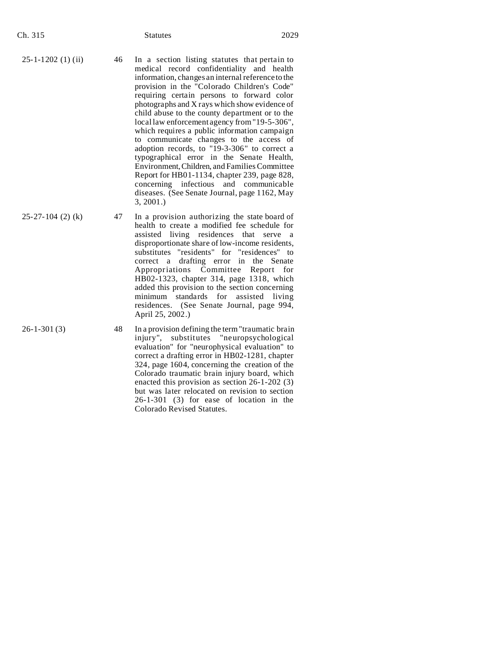| Ch. 315 | <b>Statutes</b> | 2029 |
|---------|-----------------|------|
|         |                 |      |

- $25-1-1202$  (1) (ii) 46 In a section listing statutes that pertain to medical record confidentiality and health information, changes an internal reference to the provision in the "Colorado Children's Code" requiring certain persons to forward color photographs and X rays which show evidence of child abuse to the county department or to the local law enforcement agency from "19-5-306", which requires a public information campaign to communicate changes to the access of adoption records, to "19-3-306" to correct a typographical error in the Senate Health, Environment,Children, and Families Committee Report for HB01-1134, chapter 239, page 828, concerning infectious and communicable diseases. (See Senate Journal, page 1162, May 3, 2001.)
- $25-27-104$  (2) (k)  $47$  In a provision authorizing the state board of health to create a modified fee schedule for assisted living residences that serve a disproportionate share of low-income residents, substitutes "residents" for "residences" to correct a drafting error in the Senate Appropriations Committee Report for HB02-1323, chapter 314, page 1318, which added this provision to the section concerning minimum standards for assisted living residences. (See Senate Journal, page 994, April 25, 2002.)

26-1-301 (3) 48 In a provision defining the term "traumatic brain injury", substitutes "neuropsychological evaluation" for "neurophysical evaluation" to correct a drafting error in HB02-1281, chapter 324, page 1604, concerning the creation of the Colorado traumatic brain injury board, which enacted this provision as section 26-1-202 (3) but was later relocated on revision to section 26-1-301 (3) for ease of location in the Colorado Revised Statutes.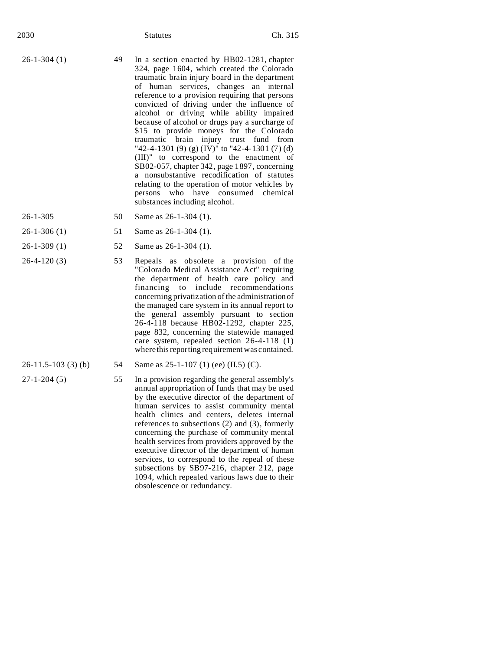| 2030              |    | <b>Statutes</b>                                                                                                                                                                                                                                                                                                                                                                                                                                                                                                                                                                                                                                                                                                                                                                                  | Ch. 315         |
|-------------------|----|--------------------------------------------------------------------------------------------------------------------------------------------------------------------------------------------------------------------------------------------------------------------------------------------------------------------------------------------------------------------------------------------------------------------------------------------------------------------------------------------------------------------------------------------------------------------------------------------------------------------------------------------------------------------------------------------------------------------------------------------------------------------------------------------------|-----------------|
| $26 - 1 - 304(1)$ | 49 | In a section enacted by HB02-1281, chapter<br>324, page 1604, which created the Colorado<br>traumatic brain injury board in the department<br>of human services, changes an internal<br>reference to a provision requiring that persons<br>convicted of driving under the influence of<br>alcohol or driving while ability impaired<br>because of alcohol or drugs pay a surcharge of<br>\$15 to provide moneys for the Colorado<br>traumatic brain injury trust fund from<br>"42-4-1301 (9) (g) (IV)" to "42-4-1301 (7) (d)<br>(III)" to correspond to the enactment of<br>SB02-057, chapter 342, page 1897, concerning<br>a nonsubstantive recodification of statutes<br>relating to the operation of motor vehicles by<br>persons who have consumed chemical<br>substances including alcohol. |                 |
| $26 - 1 - 305$    | 50 | Same as 26-1-304 (1).                                                                                                                                                                                                                                                                                                                                                                                                                                                                                                                                                                                                                                                                                                                                                                            |                 |
| $26-1-306(1)$     | 51 | Same as 26-1-304 (1).                                                                                                                                                                                                                                                                                                                                                                                                                                                                                                                                                                                                                                                                                                                                                                            |                 |
| $26-1-309(1)$     | 52 | Same as 26-1-304 (1).                                                                                                                                                                                                                                                                                                                                                                                                                                                                                                                                                                                                                                                                                                                                                                            |                 |
| $26-4-120(3)$     | 53 | Repeals as obsolete a provision of the<br>"Colorado Medical Assistance Act" requiring<br>the department of health care policy and<br>financing<br>to<br>include<br>concerning privatization of the administration of<br>the managed care system in its annual report to<br>the general assembly pursuant to section<br>26-4-118 because HB02-1292, chapter 225,<br>page 832, concerning the statewide managed<br>care system, repealed section 26-4-118 (1)<br>where this reporting requirement was contained.                                                                                                                                                                                                                                                                                   | recommendations |

- 
- 26-11.5-103 (3) (b) 54 Same as 25-1-107 (1) (ee) (II.5) (C).
- 27-1-204 (5) 55 In a provision regarding the general assembly's annual appropriation of funds that may be used by the executive director of the department of human services to assist community mental health clinics and centers, deletes internal references to subsections (2) and (3), formerly concerning the purchase of community mental health services from providers approved by the executive director of the department of human services, to correspond to the repeal of these subsections by SB97-216, chapter 212, page 1094, which repealed various laws due to their obsolescence or redundancy.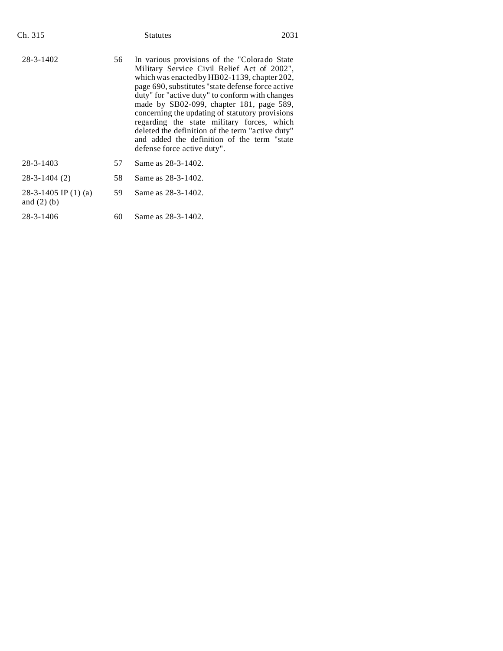| $28 - 3 - 1402$<br>In various provisions of the "Colorado State"<br>56<br>Military Service Civil Relief Act of 2002",<br>which was enacted by HB02-1139, chapter 202,<br>page 690, substitutes "state defense force active                                                                                                      | 2031 |
|---------------------------------------------------------------------------------------------------------------------------------------------------------------------------------------------------------------------------------------------------------------------------------------------------------------------------------|------|
| duty" for "active duty" to conform with changes<br>made by SB02-099, chapter 181, page 589,<br>concerning the updating of statutory provisions<br>regarding the state military forces, which<br>deleted the definition of the term "active duty"<br>and added the definition of the term "state"<br>defense force active duty". |      |
| $28 - 3 - 1403$<br>57<br>Same as 28-3-1402.                                                                                                                                                                                                                                                                                     |      |
| 58<br>$28 - 3 - 1404(2)$<br>Same as 28-3-1402.                                                                                                                                                                                                                                                                                  |      |
| 28-3-1405 IP $(1)$ (a)<br>59<br>Same as 28-3-1402.<br>and $(2)$ (b)                                                                                                                                                                                                                                                             |      |
| Same as 28-3-1402.<br>28-3-1406<br>60                                                                                                                                                                                                                                                                                           |      |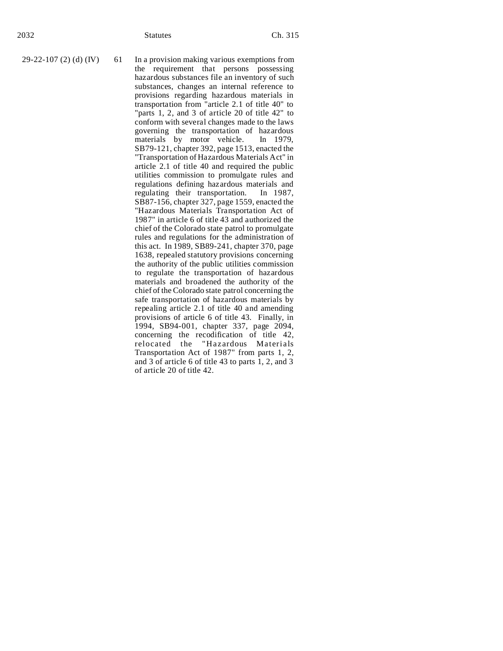29-22-107 (2) (d)  $(IV)$  61 In a provision making various exemptions from the requirement that persons possessing hazardous substances file an inventory of such substances, changes an internal reference to provisions regarding hazardous materials in transportation from "article 2.1 of title 40" to "parts 1, 2, and 3 of article 20 of title 42" to conform with several changes made to the laws governing the transportation of hazardous<br>materials by motor vehicle. In 1979, materials by motor vehicle. SB79-121, chapter 392, page 1513, enacted the "Transportation of Hazardous Materials Act" in article 2.1 of title 40 and required the public utilities commission to promulgate rules and regulations defining hazardous materials and<br>regulating their transportation. In 1987, regulating their transportation. SB87-156, chapter 327, page 1559, enacted the "Hazardous Materials Transportation Act of 1987" in article 6 of title 43 and authorized the chief of the Colorado state patrol to promulgate rules and regulations for the administration of this act. In 1989, SB89-241, chapter 370, page 1638, repealed statutory provisions concerning the authority of the public utilities commission to regulate the transportation of hazardous materials and broadened the authority of the chief of the Colorado state patrol concerning the safe transportation of hazardous materials by repealing article 2.1 of title 40 and amending provisions of article 6 of title 43. Finally, in 1994, SB94-001, chapter 337, page 2094, concerning the recodification of title 42, relocated the "Hazardous Materials Transportation Act of 1987" from parts 1, 2, and 3 of article 6 of title 43 to parts 1, 2, and 3 of article 20 of title 42.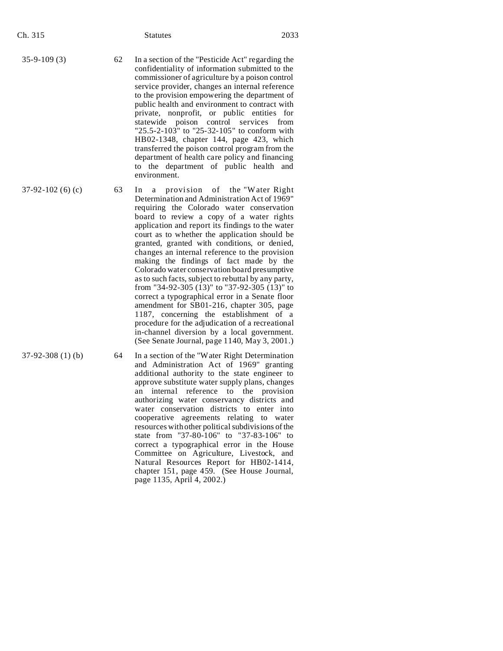| Ch. 315            |    | <b>Statutes</b>                                                                                                                                                                                                                                                                                                                                                                                                                                                                                                                                                                                                                                                                                                                                                                                                                                                                                   | 2033 |
|--------------------|----|---------------------------------------------------------------------------------------------------------------------------------------------------------------------------------------------------------------------------------------------------------------------------------------------------------------------------------------------------------------------------------------------------------------------------------------------------------------------------------------------------------------------------------------------------------------------------------------------------------------------------------------------------------------------------------------------------------------------------------------------------------------------------------------------------------------------------------------------------------------------------------------------------|------|
| $35-9-109(3)$      | 62 | In a section of the "Pesticide Act" regarding the<br>confidentiality of information submitted to the<br>commissioner of agriculture by a poison control<br>service provider, changes an internal reference<br>to the provision empowering the department of<br>public health and environment to contract with<br>private, nonprofit, or public entities for<br>statewide poison control services from<br>"25.5-2-103" to "25-32-105" to conform with<br>HB02-1348, chapter 144, page 423, which<br>transferred the poison control program from the<br>department of health care policy and financing<br>to the department of public health and<br>environment.                                                                                                                                                                                                                                    |      |
| $37-92-102(6)$ (c) | 63 | In<br>provision of the "Water Right<br>a<br>Determination and Administration Act of 1969"<br>requiring the Colorado water conservation<br>board to review a copy of a water rights<br>application and report its findings to the water<br>court as to whether the application should be<br>granted, granted with conditions, or denied,<br>changes an internal reference to the provision<br>making the findings of fact made by the<br>Colorado water conservation board presumptive<br>as to such facts, subject to rebuttal by any party,<br>from "34-92-305 $(13)$ " to "37-92-305 $(13)$ " to<br>correct a typographical error in a Senate floor<br>amendment for SB01-216, chapter 305, page<br>1187, concerning the establishment of a<br>procedure for the adjudication of a recreational<br>in-channel diversion by a local government.<br>(See Senate Journal, page 1140, May 3, 2001.) |      |
| $37-92-308(1)$ (b) | 64 | In a section of the "Water Right Determination                                                                                                                                                                                                                                                                                                                                                                                                                                                                                                                                                                                                                                                                                                                                                                                                                                                    |      |

and Administration Act of 1969" granting additional authority to the state engineer to approve substitute water supply plans, changes an internal reference to the provision authorizing water conservancy districts and water conservation districts to enter into cooperative agreements relating to water resources with other political subdivisions of the state from "37-80-106" to "37-83-106" to correct a typographical error in the House Committee on Agriculture, Livestock, and Natural Resources Report for HB02-1414, chapter 151, page 459. (See House Journal, page 1135, April 4, 2002.)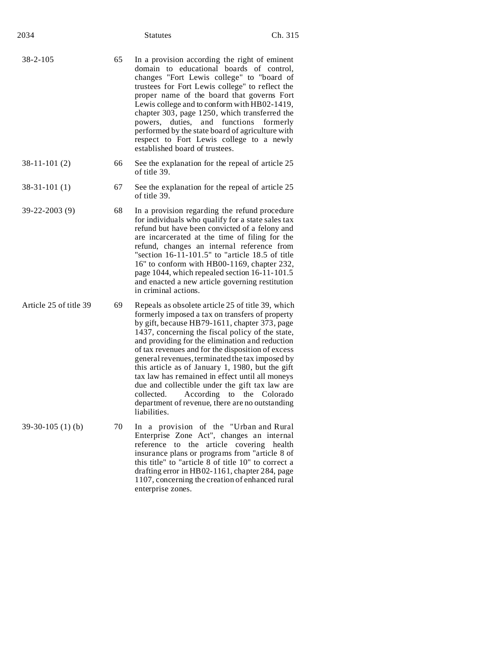| 2034                   |    | <b>Statutes</b>                                                                                                                                                                                                                                                                                                                                                                                                                                                                                                                                                                                                                   | Ch. 315      |
|------------------------|----|-----------------------------------------------------------------------------------------------------------------------------------------------------------------------------------------------------------------------------------------------------------------------------------------------------------------------------------------------------------------------------------------------------------------------------------------------------------------------------------------------------------------------------------------------------------------------------------------------------------------------------------|--------------|
| $38 - 2 - 105$         | 65 | In a provision according the right of eminent<br>domain to educational boards of control,<br>changes "Fort Lewis college" to "board of<br>trustees for Fort Lewis college" to reflect the<br>proper name of the board that governs Fort<br>Lewis college and to conform with HB02-1419,<br>chapter 303, page 1250, which transferred the<br>powers,<br>duties,<br>and<br>functions<br>performed by the state board of agriculture with<br>respect to Fort Lewis college to a newly<br>established board of trustees.                                                                                                              | formerly     |
| $38-11-101(2)$         | 66 | See the explanation for the repeal of article 25<br>of title 39.                                                                                                                                                                                                                                                                                                                                                                                                                                                                                                                                                                  |              |
| $38-31-101(1)$         | 67 | See the explanation for the repeal of article 25<br>of title 39.                                                                                                                                                                                                                                                                                                                                                                                                                                                                                                                                                                  |              |
| 39-22-2003 (9)         | 68 | In a provision regarding the refund procedure<br>for individuals who qualify for a state sales tax<br>refund but have been convicted of a felony and<br>are incarcerated at the time of filing for the<br>refund, changes an internal reference from<br>"section 16-11-101.5" to "article 18.5 of title<br>16" to conform with HB00-1169, chapter 232,<br>page 1044, which repealed section 16-11-101.5<br>and enacted a new article governing restitution<br>in criminal actions.                                                                                                                                                |              |
| Article 25 of title 39 | 69 | Repeals as obsolete article 25 of title 39, which<br>formerly imposed a tax on transfers of property<br>by gift, because HB79-1611, chapter 373, page<br>1437, concerning the fiscal policy of the state,<br>and providing for the elimination and reduction<br>of tax revenues and for the disposition of excess<br>general revenues, terminated the tax imposed by<br>this article as of January 1, 1980, but the gift<br>tax law has remained in effect until all moneys<br>due and collectible under the gift tax law are<br>collected.<br>According<br>to<br>department of revenue, there are no outstanding<br>liabilities. | the Colorado |
| $39-30-105(1)$ (b)     | 70 | In a provision of the "Urban and Rural<br>Enterprise Zone Act", changes an internal<br>reference<br>to the article covering health<br>insurance plans or programs from "article 8 of<br>this title" to "article 8 of title 10" to correct a<br>drafting error in HB02-1161, chapter 284, page<br>1107, concerning the creation of enhanced rural<br>enterprise zones.                                                                                                                                                                                                                                                             |              |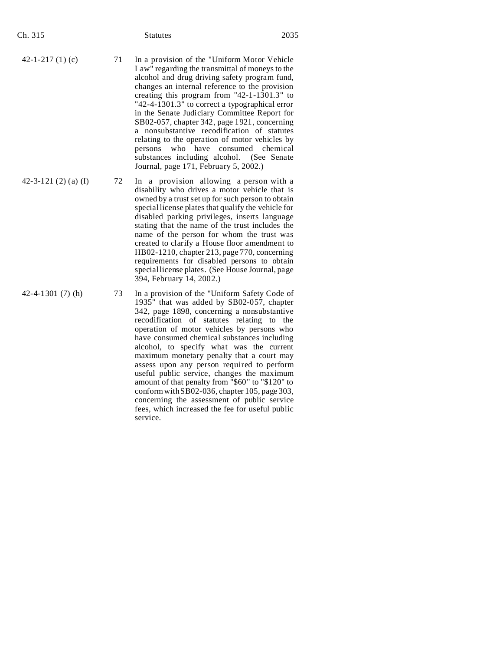| Ch. 315                    |    | Statutes                                                                                                                                                                                                                                                                                                                                                                                                                                                                                                                                                                                                                                                                                     | 2035 |
|----------------------------|----|----------------------------------------------------------------------------------------------------------------------------------------------------------------------------------------------------------------------------------------------------------------------------------------------------------------------------------------------------------------------------------------------------------------------------------------------------------------------------------------------------------------------------------------------------------------------------------------------------------------------------------------------------------------------------------------------|------|
| 42-1-217 $(1)$ $(c)$       | 71 | In a provision of the "Uniform Motor Vehicle<br>Law" regarding the transmittal of moneys to the<br>alcohol and drug driving safety program fund,<br>changes an internal reference to the provision<br>creating this program from "42-1-1301.3" to<br>"42-4-1301.3" to correct a typographical error<br>in the Senate Judiciary Committee Report for<br>SB02-057, chapter 342, page 1921, concerning<br>a nonsubstantive recodification of statutes<br>relating to the operation of motor vehicles by<br>persons who have consumed chemical<br>substances including alcohol.<br>(See Senate<br>Journal, page 171, February 5, 2002.)                                                          |      |
| 42-3-121 $(2)$ $(a)$ $(I)$ | 72 | In a provision allowing a person with a<br>disability who drives a motor vehicle that is<br>owned by a trust set up for such person to obtain<br>special license plates that qualify the vehicle for<br>disabled parking privileges, inserts language<br>stating that the name of the trust includes the<br>name of the person for whom the trust was<br>created to clarify a House floor amendment to<br>HB02-1210, chapter 213, page 770, concerning<br>requirements for disabled persons to obtain<br>special license plates. (See House Journal, page<br>394, February 14, 2002.)                                                                                                        |      |
| 42-4-1301 $(7)$ $(h)$      | 73 | In a provision of the "Uniform Safety Code of<br>1935" that was added by SB02-057, chapter<br>342, page 1898, concerning a nonsubstantive<br>recodification of statutes relating to the<br>operation of motor vehicles by persons who<br>have consumed chemical substances including<br>alcohol, to specify what was the current<br>maximum monetary penalty that a court may<br>assess upon any person required to perform<br>useful public service, changes the maximum<br>amount of that penalty from "\$60" to "\$120" to<br>conform with SB02-036, chapter 105, page 303,<br>concerning the assessment of public service<br>fees, which increased the fee for useful public<br>service. |      |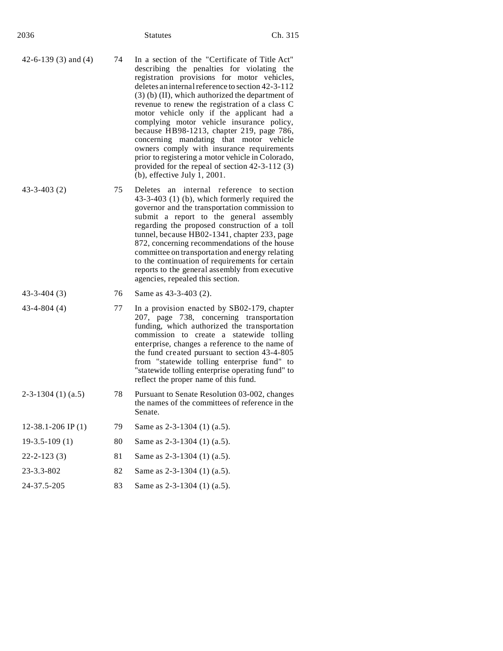| 2036 | <b>Statutes</b> | Ch. 315 |
|------|-----------------|---------|
|      |                 |         |

- 42-6-139 (3) and (4) 74 In a section of the "Certificate of Title Act" describing the penalties for violating the registration provisions for motor vehicles, deletes an internal reference to section 42-3-112 (3) (b) (II), which authorized the department of revenue to renew the registration of a class C motor vehicle only if the applicant had a complying motor vehicle insurance policy, because HB98-1213, chapter 219, page 786, concerning mandating that motor vehicle owners comply with insurance requirements prior to registering a motor vehicle in Colorado, provided for the repeal of section 42-3-112 (3) (b), effective July 1, 2001.
- 43-3-403 (2) 75 Deletes an internal reference to section 43-3-403 (1) (b), which formerly required the governor and the transportation commission to submit a report to the general assembly regarding the proposed construction of a toll tunnel, because HB02-1341, chapter 233, page 872, concerning recommendations of the house committee on transportation and energy relating to the continuation of requirements for certain reports to the general assembly from executive agencies, repealed this section.

## 43-3-404 (3) 76 Same as 43-3-403 (2).

- 43-4-804 (4) 77 In a provision enacted by SB02-179, chapter 207, page 738, concerning transportation funding, which authorized the transportation commission to create a statewide tolling enterprise, changes a reference to the name of the fund created pursuant to section 43-4-805 from "statewide tolling enterprise fund" to "statewide tolling enterprise operating fund" to reflect the proper name of this fund.
- 2-3-1304 (1) (a.5) 78 Pursuant to Senate Resolution 03-002, changes the names of the committees of reference in the Senate.
- 12-38.1-206 IP (1) 79 Same as 2-3-1304 (1) (a.5).
- 19-3.5-109 (1) 80 Same as 2-3-1304 (1) (a.5).
- 22-2-123 (3) 81 Same as 2-3-1304 (1) (a.5).
- 23-3.3-802 82 Same as 2-3-1304 (1) (a.5). 24-37.5-205 83 Same as 2-3-1304 (1) (a.5).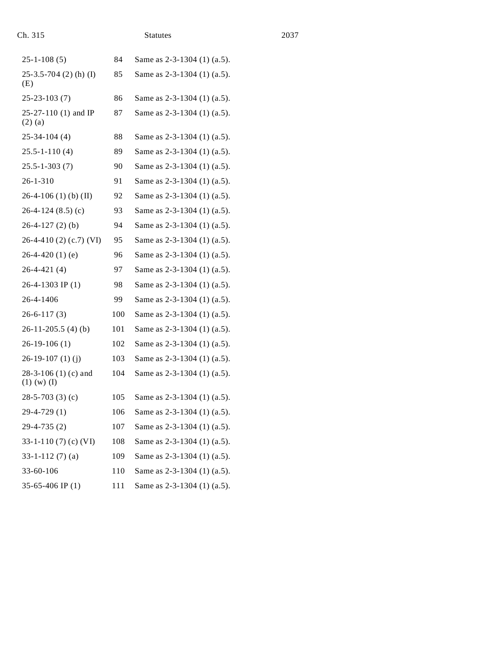| Ch. 315                                  |     | <b>Statutes</b>             | 2037 |
|------------------------------------------|-----|-----------------------------|------|
| $25 - 1 - 108(5)$                        | 84  | Same as 2-3-1304 (1) (a.5). |      |
| $25-3.5-704$ (2) (h) (I)<br>(E)          | 85  | Same as 2-3-1304 (1) (a.5). |      |
| $25 - 23 - 103(7)$                       | 86  | Same as 2-3-1304 (1) (a.5). |      |
| 25-27-110 (1) and IP<br>$(2)$ (a)        | 87  | Same as 2-3-1304 (1) (a.5). |      |
| $25-34-104(4)$                           | 88  | Same as 2-3-1304 (1) (a.5). |      |
| $25.5 - 1 - 110(4)$                      | 89  | Same as 2-3-1304 (1) (a.5). |      |
| $25.5 - 1 - 303(7)$                      | 90  | Same as 2-3-1304 (1) (a.5). |      |
| $26 - 1 - 310$                           | 91  | Same as 2-3-1304 (1) (a.5). |      |
| $26-4-106$ (1) (b) (II)                  | 92  | Same as 2-3-1304 (1) (a.5). |      |
| $26-4-124(8.5)(c)$                       | 93  | Same as 2-3-1304 (1) (a.5). |      |
| $26-4-127(2)$ (b)                        | 94  | Same as 2-3-1304 (1) (a.5). |      |
| $26-4-410(2)$ (c.7) (VI)                 | 95  | Same as 2-3-1304 (1) (a.5). |      |
| $26-4-420(1)$ (e)                        | 96  | Same as 2-3-1304 (1) (a.5). |      |
| $26-4-421(4)$                            | 97  | Same as 2-3-1304 (1) (a.5). |      |
| $26-4-1303$ IP (1)                       | 98  | Same as 2-3-1304 (1) (a.5). |      |
| 26-4-1406                                | 99  | Same as 2-3-1304 (1) (a.5). |      |
| $26 - 6 - 117(3)$                        | 100 | Same as 2-3-1304 (1) (a.5). |      |
| $26-11-205.5(4)(b)$                      | 101 | Same as 2-3-1304 (1) (a.5). |      |
| $26-19-106(1)$                           | 102 | Same as 2-3-1304 (1) (a.5). |      |
| $26-19-107(1)$ (j)                       | 103 | Same as 2-3-1304 (1) (a.5). |      |
| $28-3-106(1)$ (c) and<br>$(1)$ (w) $(I)$ | 104 | Same as 2-3-1304 (1) (a.5). |      |
| 28-5-703 (3) (c)                         | 105 | Same as 2-3-1304 (1) (a.5). |      |
| $29-4-729(1)$                            | 106 | Same as 2-3-1304 (1) (a.5). |      |
| $29-4-735(2)$                            | 107 | Same as 2-3-1304 (1) (a.5). |      |
| 33-1-110 $(7)$ $(c)$ $(VI)$              | 108 | Same as 2-3-1304 (1) (a.5). |      |
| $33-1-112(7)$ (a)                        | 109 | Same as 2-3-1304 (1) (a.5). |      |
| 33-60-106                                | 110 | Same as 2-3-1304 (1) (a.5). |      |
| 35-65-406 IP $(1)$                       | 111 | Same as 2-3-1304 (1) (a.5). |      |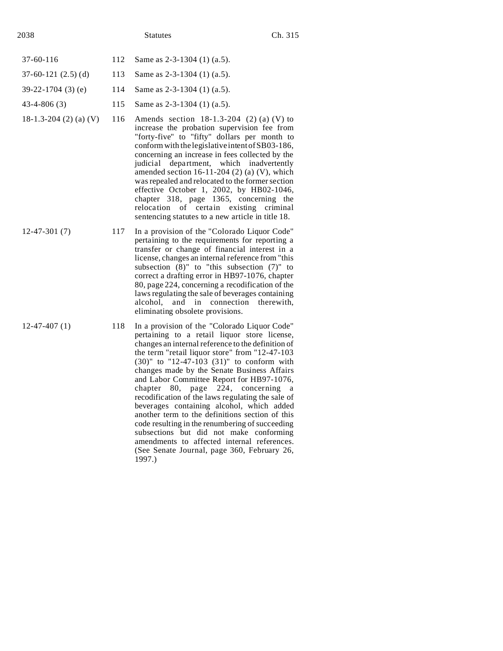| 37-60-116               |     | 112 Same as $2-3-1304$ (1) (a.5).                                                                                                                                                                 |
|-------------------------|-----|---------------------------------------------------------------------------------------------------------------------------------------------------------------------------------------------------|
| $37-60-121$ $(2.5)$ (d) | 113 | Same as $2-3-1304$ (1) (a.5).                                                                                                                                                                     |
| $39-22-1704$ (3) (e)    | 114 | Same as $2-3-1304$ (1) (a.5).                                                                                                                                                                     |
| $43 - 4 - 806(3)$       |     | 115 Same as $2-3-1304$ (1) (a.5).                                                                                                                                                                 |
| 18-1.3-204 (2) (a) (V)  |     | 116 Amends section $18-1.3-204$ (2) (a) (V) to<br>increase the probation supervision fee from<br>"forty-five" to "fifty" dollars per month to<br>conform with the legislative intent of SB03-186, |

- 
- 12-47-301 (7) 117 In a provision of the "Colorado Liquor Code" pertaining to the requirements for reporting a transfer or change of financial interest in a license, changes an internal reference from "this subsection (8)" to "this subsection (7)" to correct a drafting error in HB97-1076, chapter 80, page 224, concerning a recodification of the laws regulating the sale of beverages containing alcohol, and in connection therewith, eliminating obsolete provisions.

concerning an increase in fees collected by the judicial department, which inadvertently amended section  $16-11-204$  (2) (a) (V), which was repealed and relocated to the former section effective October 1, 2002, by HB02-1046, chapter 318, page 1365, concerning the relocation of certain existing criminal sentencing statutes to a new article in title 18.

12-47-407 (1) 118 In a provision of the "Colorado Liquor Code" pertaining to a retail liquor store license, changes an internal reference to the definition of the term "retail liquor store" from "12-47-103 (30)" to "12-47-103 (31)" to conform with changes made by the Senate Business Affairs and Labor Committee Report for HB97-1076, chapter 80, page 224, concerning a recodification of the laws regulating the sale of beverages containing alcohol, which added another term to the definitions section of this code resulting in the renumbering of succeeding subsections but did not make conforming amendments to affected internal references. (See Senate Journal, page 360, February 26, 1997.)

- 
- 
-